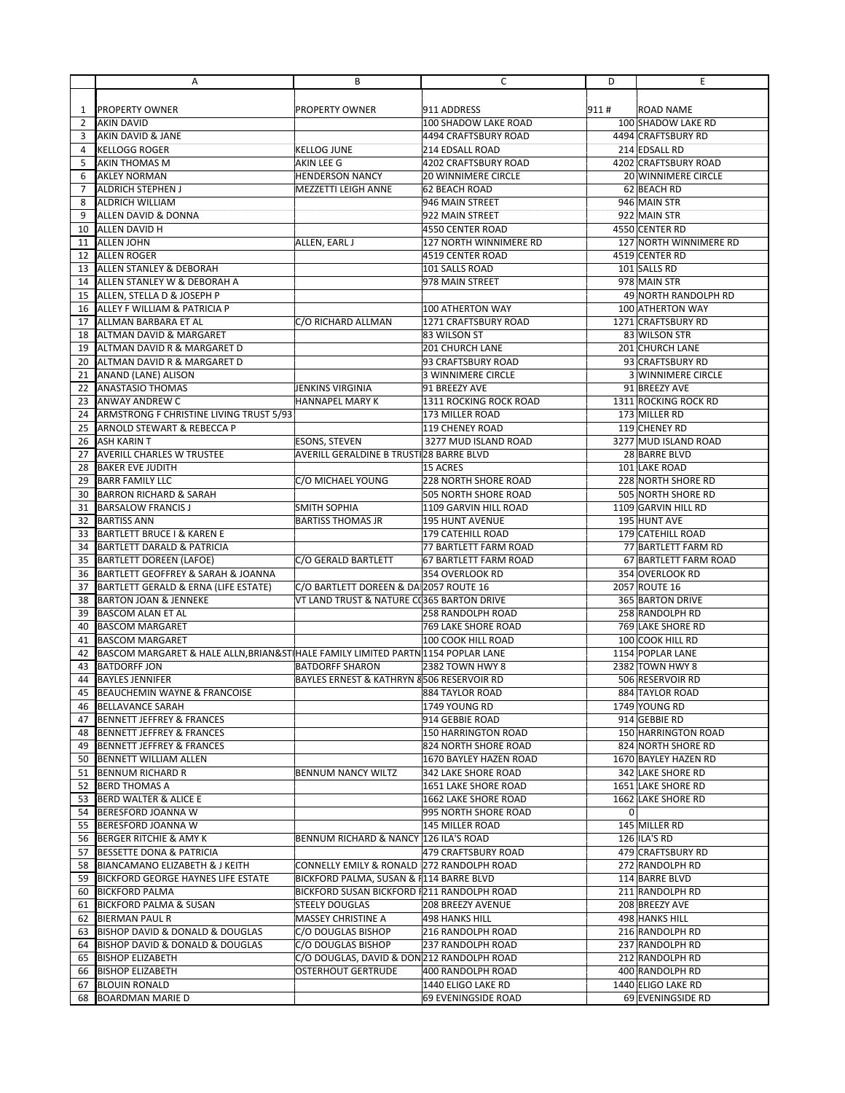|          | Α                                                                                | В                                          | C                                      | D              | Е                                         |
|----------|----------------------------------------------------------------------------------|--------------------------------------------|----------------------------------------|----------------|-------------------------------------------|
|          |                                                                                  |                                            |                                        |                |                                           |
| 1        | <b>PROPERTY OWNER</b>                                                            | <b>PROPERTY OWNER</b>                      | 911 ADDRESS                            | 911#           | ROAD NAME                                 |
| 2        | <b>AKIN DAVID</b>                                                                |                                            | 100 SHADOW LAKE ROAD                   |                | 100 SHADOW LAKE RD                        |
| 3        | <b>AKIN DAVID &amp; JANE</b>                                                     |                                            | 4494 CRAFTSBURY ROAD                   |                | 4494 CRAFTSBURY RD                        |
| 4        | <b>KELLOGG ROGER</b>                                                             | <b>KELLOG JUNE</b>                         | 214 EDSALL ROAD                        |                | 214 EDSALL RD                             |
| 5        | <b>AKIN THOMAS M</b>                                                             | AKIN LEE G                                 | 4202 CRAFTSBURY ROAD                   |                | 4202 CRAFTSBURY ROAD                      |
| 6        | <b>AKLEY NORMAN</b>                                                              | <b>HENDERSON NANCY</b>                     | 20 WINNIMERE CIRCLE                    |                | 20 WINNIMERE CIRCLE                       |
| 7        | <b>ALDRICH STEPHEN J</b>                                                         | MEZZETTI LEIGH ANNE                        | 62 BEACH ROAD                          |                | 62 BEACH RD                               |
| 8        | <b>ALDRICH WILLIAM</b>                                                           |                                            | 946 MAIN STREET                        |                | 946 MAIN STR                              |
| 9        | ALLEN DAVID & DONNA                                                              |                                            | 922 MAIN STREET                        |                | 922 MAIN STR                              |
| 10       | <b>ALLEN DAVID H</b>                                                             |                                            | 4550 CENTER ROAD                       |                | 4550 CENTER RD                            |
| 11       | <b>ALLEN JOHN</b>                                                                | ALLEN, EARL J                              | 127 NORTH WINNIMERE RD                 |                | 127 NORTH WINNIMERE RD                    |
| 12       | <b>ALLEN ROGER</b>                                                               |                                            | 4519 CENTER ROAD                       |                | 4519 CENTER RD                            |
| 13       | <b>ALLEN STANLEY &amp; DEBORAH</b>                                               |                                            | 101 SALLS ROAD                         |                | 101 SALLS RD                              |
| 14       | ALLEN STANLEY W & DEBORAH A                                                      |                                            | 978 MAIN STREET                        |                | 978 MAIN STR                              |
| 15       | ALLEN, STELLA D & JOSEPH P                                                       |                                            |                                        |                | 49 NORTH RANDOLPH RD                      |
| 16       | ALLEY F WILLIAM & PATRICIA P                                                     |                                            | 100 ATHERTON WAY                       |                | 100 ATHERTON WAY                          |
| 17       | ALLMAN BARBARA ET AL                                                             | C/O RICHARD ALLMAN                         | 1271 CRAFTSBURY ROAD                   |                | 1271 CRAFTSBURY RD                        |
| 18       | ALTMAN DAVID & MARGARET                                                          |                                            | 83 WILSON ST                           |                | 83 WILSON STR                             |
| 19       | ALTMAN DAVID R & MARGARET D                                                      |                                            | <b>201 CHURCH LANE</b>                 |                | 201 CHURCH LANE                           |
| 20       | ALTMAN DAVID R & MARGARET D                                                      |                                            | 93 CRAFTSBURY ROAD                     |                | 93 CRAFTSBURY RD                          |
| 21       | ANAND (LANE) ALISON                                                              |                                            | <b>3 WINNIMERE CIRCLE</b>              |                | 3 WINNIMERE CIRCLE                        |
| 22       | <b>ANASTASIO THOMAS</b>                                                          | JENKINS VIRGINIA                           | 91 BREEZY AVE                          |                | 91 BREEZY AVE                             |
| 23       | ANWAY ANDREW C                                                                   | HANNAPEL MARY K                            | 1311 ROCKING ROCK ROAD                 |                | 1311 ROCKING ROCK RD                      |
| 24       | ARMSTRONG F CHRISTINE LIVING TRUST 5/93                                          |                                            | 173 MILLER ROAD                        |                | 173 MILLER RD                             |
| 25       | <b>ARNOLD STEWART &amp; REBECCA P</b>                                            |                                            | <b>119 CHENEY ROAD</b>                 |                | 119 CHENEY RD                             |
| 26       | <b>ASH KARIN T</b>                                                               | ESONS, STEVEN                              | 3277 MUD ISLAND ROAD                   |                | 3277 MUD ISLAND ROAD                      |
| 27       | <b>AVERILL CHARLES W TRUSTEE</b>                                                 | AVERILL GERALDINE B TRUST 28 BARRE BLVD    |                                        |                | 28 BARRE BLVD                             |
| 28       | <b>BAKER EVE JUDITH</b>                                                          |                                            | 15 ACRES                               |                | 101 LAKE ROAD                             |
| 29       | <b>BARR FAMILY LLC</b>                                                           | C/O MICHAEL YOUNG                          | <b>228 NORTH SHORE ROAD</b>            |                | 228 NORTH SHORE RD                        |
| 30       | <b>BARRON RICHARD &amp; SARAH</b>                                                |                                            | 505 NORTH SHORE ROAD                   |                | 505 NORTH SHORE RD                        |
| 31       | <b>BARSALOW FRANCIS J</b>                                                        | <b>SMITH SOPHIA</b>                        | 1109 GARVIN HILL ROAD                  |                | 1109 GARVIN HILL RD                       |
| 32       | <b>BARTISS ANN</b>                                                               | <b>BARTISS THOMAS JR</b>                   | 195 HUNT AVENUE                        |                | 195 HUNT AVE                              |
| 33       | <b>BARTLETT BRUCE I &amp; KAREN E</b>                                            |                                            | 179 CATEHILL ROAD                      |                | 179 CATEHILL ROAD                         |
| 34       | <b>BARTLETT DARALD &amp; PATRICIA</b>                                            |                                            | 77 BARTLETT FARM ROAD                  |                | 77 BARTLETT FARM RD                       |
| 35       | <b>BARTLETT DOREEN (LAFOE)</b>                                                   | C/O GERALD BARTLETT                        | 67 BARTLETT FARM ROAD                  |                | 67 BARTLETT FARM ROAD                     |
| 36       | BARTLETT GEOFFREY & SARAH & JOANNA                                               |                                            | 354 OVERLOOK RD                        |                | 354 OVERLOOK RD                           |
| 37       | BARTLETT GERALD & ERNA (LIFE ESTATE)                                             | C/O BARTLETT DOREEN & DA 2057 ROUTE 16     |                                        |                | 2057 ROUTE 16                             |
| 38       | <b>BARTON JOAN &amp; JENNEKE</b>                                                 | VT LAND TRUST & NATURE C(365 BARTON DRIVE  |                                        |                | 365 BARTON DRIVE                          |
| 39       | <b>BASCOM ALAN ET AL</b>                                                         |                                            | 258 RANDOLPH ROAD                      |                | 258 RANDOLPH RD                           |
| 40       | <b>BASCOM MARGARET</b>                                                           |                                            | 769 LAKE SHORE ROAD                    |                | 769 LAKE SHORE RD                         |
| 41       | <b>BASCOM MARGARET</b>                                                           |                                            | 100 COOK HILL ROAD                     |                | 100 COOK HILL RD                          |
| 42       | BASCOM MARGARET & HALE ALLN, BRIAN&ST HALE FAMILY LIMITED PARTN 1154 POPLAR LANE |                                            |                                        |                | 1154 POPLAR LANE                          |
| 43       | <b>BATDORFF JON</b>                                                              | <b>BATDORFF SHARON</b>                     | 2382 TOWN HWY 8                        |                | 2382 TOWN HWY 8                           |
| 44       | <b>BAYLES JENNIFER</b>                                                           | BAYLES ERNEST & KATHRYN 8506 RESERVOIR RD  |                                        |                | 506 RESERVOIR RD                          |
|          | 45 BEAUCHEMIN WAYNE & FRANCOISE                                                  |                                            | 884 TAYLOR ROAD                        |                | 884 TAYLOR ROAD                           |
|          | 46 BELLAVANCE SARAH                                                              |                                            | 1749 YOUNG RD                          |                | 1749 YOUNG RD<br>914 GEBBIE RD            |
|          | 47 BENNETT JEFFREY & FRANCES<br>48 BENNETT JEFFREY & FRANCES                     |                                            | 914 GEBBIE ROAD<br>150 HARRINGTON ROAD |                |                                           |
|          | 49 BENNETT JEFFREY & FRANCES                                                     |                                            | 824 NORTH SHORE ROAD                   |                | 150 HARRINGTON ROAD<br>824 NORTH SHORE RD |
|          | 50 BENNETT WILLIAM ALLEN                                                         |                                            | 1670 BAYLEY HAZEN ROAD                 |                | 1670 BAYLEY HAZEN RD                      |
|          | <b>BENNUM RICHARD R</b>                                                          | BENNUM NANCY WILTZ                         | 342 LAKE SHORE ROAD                    |                | 342 LAKE SHORE RD                         |
| 51       | 52 BERD THOMAS A                                                                 |                                            | 1651 LAKE SHORE ROAD                   |                | 1651 LAKE SHORE RD                        |
|          | 53 BERD WALTER & ALICE E                                                         |                                            | 1662 LAKE SHORE ROAD                   |                | 1662 LAKE SHORE RD                        |
|          | 54 BERESFORD JOANNA W                                                            |                                            | 995 NORTH SHORE ROAD                   | $\overline{0}$ |                                           |
|          | 55 BERESFORD JOANNA W                                                            |                                            | 145 MILLER ROAD                        |                | 145 MILLER RD                             |
|          | 56 BERGER RITCHIE & AMY K                                                        | BENNUM RICHARD & NANCY 126 ILA'S ROAD      |                                        |                | 126 ILA'S RD                              |
| 57       | <b>BESSETTE DONA &amp; PATRICIA</b>                                              |                                            | 479 CRAFTSBURY ROAD                    |                | 479 CRAFTSBURY RD                         |
|          | 58 BIANCAMANO ELIZABETH & J KEITH                                                | CONNELLY EMILY & RONALD 272 RANDOLPH ROAD  |                                        |                | 272 RANDOLPH RD                           |
|          | 59 BICKFORD GEORGE HAYNES LIFE ESTATE                                            | BICKFORD PALMA, SUSAN & F114 BARRE BLVD    |                                        |                | 114 BARRE BLVD                            |
|          | 60 BICKFORD PALMA                                                                | BICKFORD SUSAN BICKFORD #211 RANDOLPH ROAD |                                        |                | 211 RANDOLPH RD                           |
|          | <b>BICKFORD PALMA &amp; SUSAN</b>                                                | <b>STEELY DOUGLAS</b>                      | 208 BREEZY AVENUE                      |                | 208 BREEZY AVE                            |
| 61<br>62 | <b>BIERMAN PAUL R</b>                                                            | MASSEY CHRISTINE A                         | 498 HANKS HILL                         |                | 498 HANKS HILL                            |
|          | 63 BISHOP DAVID & DONALD & DOUGLAS                                               | C/O DOUGLAS BISHOP                         | 216 RANDOLPH ROAD                      |                | 216 RANDOLPH RD                           |
|          | 64 BISHOP DAVID & DONALD & DOUGLAS                                               | C/O DOUGLAS BISHOP                         | 237 RANDOLPH ROAD                      |                | 237 RANDOLPH RD                           |
|          | 65 BISHOP ELIZABETH                                                              | C/O DOUGLAS, DAVID & DON 212 RANDOLPH ROAD |                                        |                | 212 RANDOLPH RD                           |
| 66       | <b>BISHOP ELIZABETH</b>                                                          | <b>OSTERHOUT GERTRUDE</b>                  | 400 RANDOLPH ROAD                      |                | 400 RANDOLPH RD                           |
| 67       | <b>BLOUIN RONALD</b>                                                             |                                            | 1440 ELIGO LAKE RD                     |                | 1440 ELIGO LAKE RD                        |
|          | 68 BOARDMAN MARIE D                                                              |                                            | 69 EVENINGSIDE ROAD                    |                | 69 EVENINGSIDE RD                         |
|          |                                                                                  |                                            |                                        |                |                                           |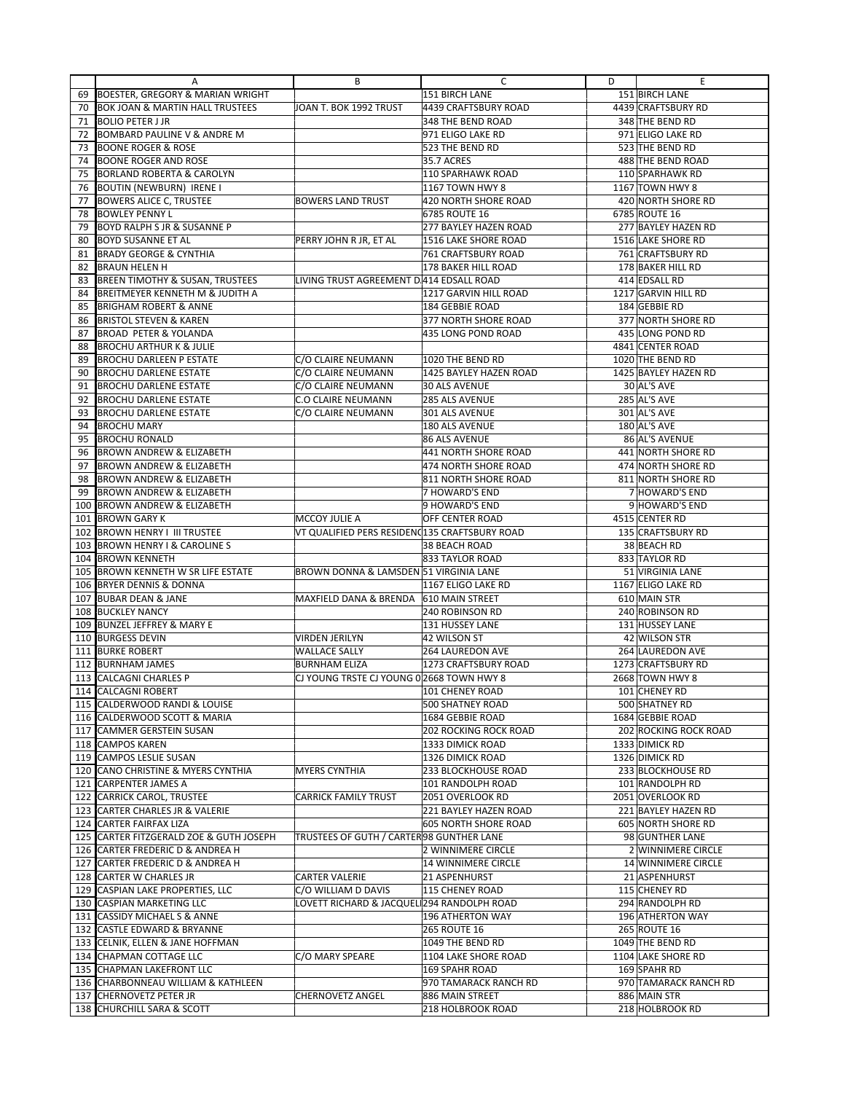|            | Α                                                                         | В                                             | C                                         | D | Ε                                       |
|------------|---------------------------------------------------------------------------|-----------------------------------------------|-------------------------------------------|---|-----------------------------------------|
| 69         | BOESTER, GREGORY & MARIAN WRIGHT                                          |                                               | 151 BIRCH LANE                            |   | 151 BIRCH LANE                          |
| 70         | <b>BOK JOAN &amp; MARTIN HALL TRUSTEES</b>                                | JOAN T. BOK 1992 TRUST                        | 4439 CRAFTSBURY ROAD                      |   | 4439 CRAFTSBURY RD                      |
| 71         | <b>BOLIO PETER J JR</b>                                                   |                                               | 348 THE BEND ROAD                         |   | 348 THE BEND RD                         |
| 72         | <b>BOMBARD PAULINE V &amp; ANDRE M</b>                                    |                                               | 971 ELIGO LAKE RD                         |   | 971 ELIGO LAKE RD                       |
| 73         | <b>BOONE ROGER &amp; ROSE</b>                                             |                                               | 523 THE BEND RD                           |   | 523 THE BEND RD                         |
| 74         | <b>BOONE ROGER AND ROSE</b>                                               |                                               | <b>35.7 ACRES</b>                         |   | 488 THE BEND ROAD                       |
| 75         | <b>BORLAND ROBERTA &amp; CAROLYN</b>                                      |                                               | 110 SPARHAWK ROAD                         |   | 110 SPARHAWK RD                         |
| 76         | <b>BOUTIN (NEWBURN) IRENE I</b>                                           |                                               | 1167 TOWN HWY 8                           |   | 1167 TOWN HWY 8                         |
| 77         | <b>BOWERS ALICE C, TRUSTEE</b>                                            | <b>BOWERS LAND TRUST</b>                      | 420 NORTH SHORE ROAD                      |   | 420 NORTH SHORE RD                      |
| 78         | <b>BOWLEY PENNY L</b>                                                     |                                               | 6785 ROUTE 16                             |   | 6785 ROUTE 16                           |
| 79         | BOYD RALPH S JR & SUSANNE P                                               |                                               | 277 BAYLEY HAZEN ROAD                     |   | 277 BAYLEY HAZEN RD                     |
| 80         | <b>BOYD SUSANNE ET AL</b>                                                 | PERRY JOHN R JR, ET AL                        | 1516 LAKE SHORE ROAD                      |   | 1516 LAKE SHORE RD                      |
| 81         | <b>BRADY GEORGE &amp; CYNTHIA</b><br><b>BRAUN HELEN H</b>                 |                                               | <b>761 CRAFTSBURY ROAD</b>                |   | <b>761 CRAFTSBURY RD</b>                |
| 82<br>83   | <b>BREEN TIMOTHY &amp; SUSAN, TRUSTEES</b>                                | LIVING TRUST AGREEMENT D 414 EDSALL ROAD      | 178 BAKER HILL ROAD                       |   | 178 BAKER HILL RD<br>414 EDSALL RD      |
| 84         | BREITMEYER KENNETH M & JUDITH A                                           |                                               | 1217 GARVIN HILL ROAD                     |   | 1217 GARVIN HILL RD                     |
| 85         | <b>BRIGHAM ROBERT &amp; ANNE</b>                                          |                                               | 184 GEBBIE ROAD                           |   | 184 GEBBIE RD                           |
| 86         | <b>BRISTOL STEVEN &amp; KAREN</b>                                         |                                               | 377 NORTH SHORE ROAD                      |   | 377 NORTH SHORE RD                      |
| 87         | <b>BROAD PETER &amp; YOLANDA</b>                                          |                                               | 435 LONG POND ROAD                        |   | 435 LONG POND RD                        |
| 88         | <b>BROCHU ARTHUR K &amp; JULIE</b>                                        |                                               |                                           |   | 4841 CENTER ROAD                        |
| 89         | <b>BROCHU DARLEEN P ESTATE</b>                                            | C/O CLAIRE NEUMANN                            | 1020 THE BEND RD                          |   | 1020 THE BEND RD                        |
| 90         | <b>BROCHU DARLENE ESTATE</b>                                              | C/O CLAIRE NEUMANN                            | 1425 BAYLEY HAZEN ROAD                    |   | 1425 BAYLEY HAZEN RD                    |
| 91         | <b>BROCHU DARLENE ESTATE</b>                                              | C/O CLAIRE NEUMANN                            | <b>30 ALS AVENUE</b>                      |   | 30 AL'S AVE                             |
| 92         | <b>BROCHU DARLENE ESTATE</b>                                              | <b>C.O CLAIRE NEUMANN</b>                     | 285 ALS AVENUE                            |   | <b>285 AL'S AVE</b>                     |
| 93         | <b>BROCHU DARLENE ESTATE</b>                                              | C/O CLAIRE NEUMANN                            | 301 ALS AVENUE                            |   | 301 AL'S AVE                            |
| 94         | <b>BROCHU MARY</b>                                                        |                                               | 180 ALS AVENUE                            |   | 180 AL'S AVE                            |
| 95         | <b>BROCHU RONALD</b>                                                      |                                               | <b>86 ALS AVENUE</b>                      |   | 86 AL'S AVENUE                          |
| 96         | <b>BROWN ANDREW &amp; ELIZABETH</b>                                       |                                               | 441 NORTH SHORE ROAD                      |   | 441 NORTH SHORE RD                      |
| 97         | <b>BROWN ANDREW &amp; ELIZABETH</b>                                       |                                               | 474 NORTH SHORE ROAD                      |   | 474 NORTH SHORE RD                      |
| 98         | <b>BROWN ANDREW &amp; ELIZABETH</b>                                       |                                               | 811 NORTH SHORE ROAD                      |   | 811 NORTH SHORE RD                      |
| 99         | <b>BROWN ANDREW &amp; ELIZABETH</b>                                       |                                               | 7 HOWARD'S END                            |   | 7 HOWARD'S END                          |
| 100        | <b>BROWN ANDREW &amp; ELIZABETH</b>                                       |                                               | 9 HOWARD'S END                            |   | 9 HOWARD'S END                          |
| 101        | <b>BROWN GARY K</b>                                                       | MCCOY JULIE A                                 | OFF CENTER ROAD                           |   | 4515 CENTER RD                          |
| 102<br>103 | <b>BROWN HENRY I III TRUSTEE</b><br><b>BROWN HENRY I &amp; CAROLINE S</b> | VT QUALIFIED PERS RESIDEN(135 CRAFTSBURY ROAD | 38 BEACH ROAD                             |   | 135 CRAFTSBURY RD<br>38 BEACH RD        |
| 104        | <b>BROWN KENNETH</b>                                                      |                                               | 833 TAYLOR ROAD                           |   | 833 TAYLOR RD                           |
| 105        | <b>BROWN KENNETH W SR LIFE ESTATE</b>                                     | BROWN DONNA & LAMSDEN 51 VIRGINIA LANE        |                                           |   | 51 VIRGINIA LANE                        |
| 106        | <b>BRYER DENNIS &amp; DONNA</b>                                           |                                               | 1167 ELIGO LAKE RD                        |   | 1167 ELIGO LAKE RD                      |
| 107        | <b>BUBAR DEAN &amp; JANE</b>                                              | MAXFIELD DANA & BRENDA                        | 610 MAIN STREET                           |   | 610 MAIN STR                            |
| 108        | <b>BUCKLEY NANCY</b>                                                      |                                               | 240 ROBINSON RD                           |   | 240 ROBINSON RD                         |
| 109        | <b>BUNZEL JEFFREY &amp; MARY E</b>                                        |                                               | 131 HUSSEY LANE                           |   | 131 HUSSEY LANE                         |
| 110        | <b>BURGESS DEVIN</b>                                                      | <b>VIRDEN JERILYN</b>                         | 42 WILSON ST                              |   | 42 WILSON STR                           |
| 111        | <b>BURKE ROBERT</b>                                                       | <b>WALLACE SALLY</b>                          | <b>264 LAUREDON AVE</b>                   |   | 264 LAUREDON AVE                        |
| 112        | <b>BURNHAM JAMES</b>                                                      | <b>BURNHAM ELIZA</b>                          | 1273 CRAFTSBURY ROAD                      |   | 1273 CRAFTSBURY RD                      |
| 113        | <b>CALCAGNI CHARLES P</b>                                                 | CJ YOUNG TRSTE CJ YOUNG 0 2668 TOWN HWY 8     |                                           |   | 2668 TOWN HWY 8                         |
| 114        | <b>CALCAGNI ROBERT</b>                                                    |                                               | 101 CHENEY ROAD                           |   | 101 CHENEY RD                           |
|            | 115 CALDERWOOD RANDI & LOUISE                                             |                                               | <b>500 SHATNEY ROAD</b>                   |   | 500 SHATNEY RD                          |
|            | 116 CALDERWOOD SCOTT & MARIA                                              |                                               | 1684 GEBBIE ROAD                          |   | 1684 GEBBIE ROAD                        |
|            | 117 CAMMER GERSTEIN SUSAN<br>118 CAMPOS KAREN                             |                                               | 202 ROCKING ROCK ROAD<br>1333 DIMICK ROAD |   | 202 ROCKING ROCK ROAD<br>1333 DIMICK RD |
| 119        | <b>CAMPOS LESLIE SUSAN</b>                                                |                                               | 1326 DIMICK ROAD                          |   | 1326 DIMICK RD                          |
|            | 120 CANO CHRISTINE & MYERS CYNTHIA                                        | <b>MYERS CYNTHIA</b>                          | 233 BLOCKHOUSE ROAD                       |   | 233 BLOCKHOUSE RD                       |
| 121        | <b>CARPENTER JAMES A</b>                                                  |                                               | 101 RANDOLPH ROAD                         |   | 101 RANDOLPH RD                         |
| 122        | <b>CARRICK CAROL, TRUSTEE</b>                                             | <b>CARRICK FAMILY TRUST</b>                   | 2051 OVERLOOK RD                          |   | 2051 OVERLOOK RD                        |
| 123        | <b>CARTER CHARLES JR &amp; VALERIE</b>                                    |                                               | 221 BAYLEY HAZEN ROAD                     |   | 221 BAYLEY HAZEN RD                     |
| 124        | CARTER FAIRFAX LIZA                                                       |                                               | <b>605 NORTH SHORE ROAD</b>               |   | 605 NORTH SHORE RD                      |
|            | 125 CARTER FITZGERALD ZOE & GUTH JOSEPH                                   | TRUSTEES OF GUTH / CARTER 98 GUNTHER LANE     |                                           |   | 98 GUNTHER LANE                         |
|            | 126 CARTER FREDERIC D & ANDREA H                                          |                                               | 2 WINNIMERE CIRCLE                        |   | 2 WINNIMERE CIRCLE                      |
| 127        | CARTER FREDERIC D & ANDREA H                                              |                                               | 14 WINNIMERE CIRCLE                       |   | 14 WINNIMERE CIRCLE                     |
|            | 128 CARTER W CHARLES JR                                                   | <b>CARTER VALERIE</b>                         | 21 ASPENHURST                             |   | 21 ASPENHURST                           |
| 129        | CASPIAN LAKE PROPERTIES, LLC                                              | C/O WILLIAM D DAVIS                           | 115 CHENEY ROAD                           |   | 115 CHENEY RD                           |
|            | 130 CASPIAN MARKETING LLC                                                 | LOVETT RICHARD & JACQUEL 294 RANDOLPH ROAD    |                                           |   | 294 RANDOLPH RD                         |
| 131        | <b>CASSIDY MICHAEL S &amp; ANNE</b>                                       |                                               | 196 ATHERTON WAY                          |   | 196 ATHERTON WAY                        |
| 132        | CASTLE EDWARD & BRYANNE<br>133 CELNIK, ELLEN & JANE HOFFMAN               |                                               | <b>265 ROUTE 16</b><br>1049 THE BEND RD   |   | 265 ROUTE 16<br>1049 THE BEND RD        |
| 134        | CHAPMAN COTTAGE LLC                                                       | C/O MARY SPEARE                               | 1104 LAKE SHORE ROAD                      |   | 1104 LAKE SHORE RD                      |
|            | 135 CHAPMAN LAKEFRONT LLC                                                 |                                               | 169 SPAHR ROAD                            |   | 169 SPAHR RD                            |
|            | 136 CHARBONNEAU WILLIAM & KATHLEEN                                        |                                               | 970 TAMARACK RANCH RD                     |   | 970 TAMARACK RANCH RD                   |
|            | 137 CHERNOVETZ PETER JR                                                   | <b>CHERNOVETZ ANGEL</b>                       | 886 MAIN STREET                           |   | 886 MAIN STR                            |
|            | 138 CHURCHILL SARA & SCOTT                                                |                                               | 218 HOLBROOK ROAD                         |   | 218 HOLBROOK RD                         |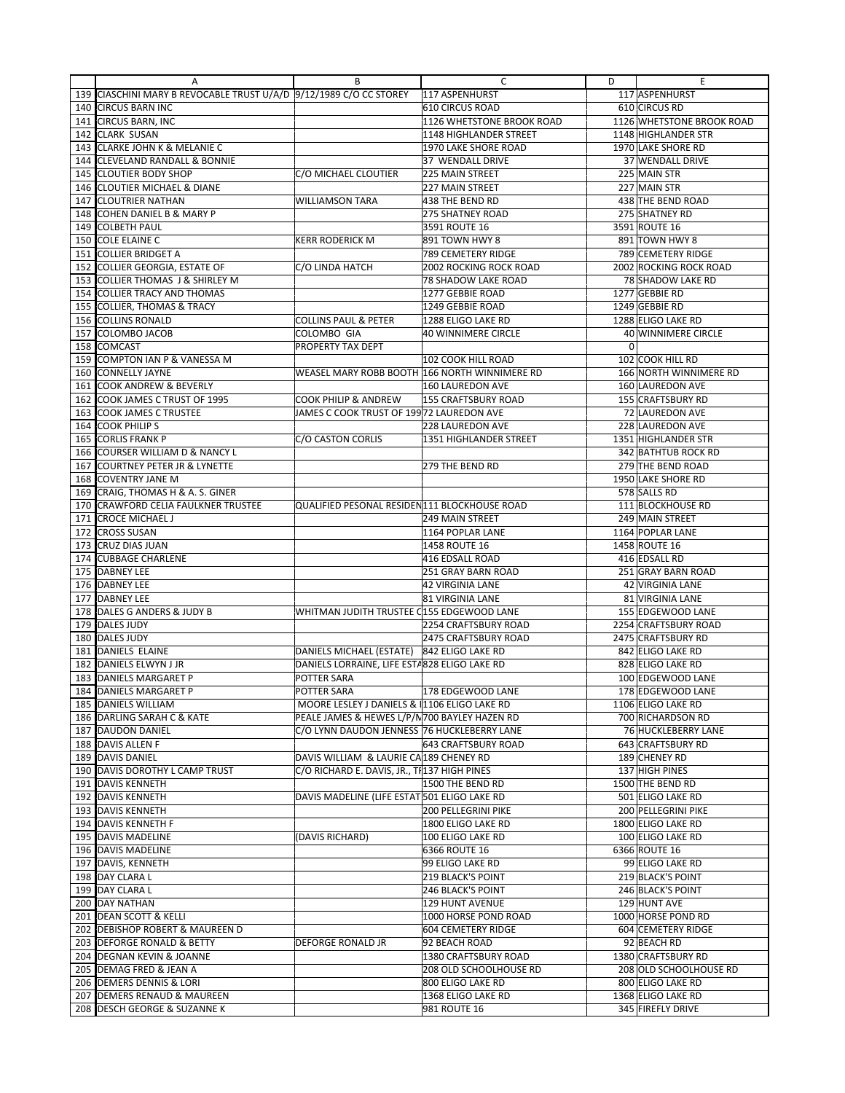|     | A                                                              | В                                             | C                             | D           | E                                           |
|-----|----------------------------------------------------------------|-----------------------------------------------|-------------------------------|-------------|---------------------------------------------|
| 139 | CIASCHINI MARY B REVOCABLE TRUST U/A/D 9/12/1989 C/O CC STOREY |                                               | 117 ASPENHURST                |             | 117 ASPENHURST                              |
| 140 | <b>CIRCUS BARN INC</b>                                         |                                               | 610 CIRCUS ROAD               |             | 610 CIRCUS RD                               |
| 141 | <b>CIRCUS BARN, INC</b>                                        |                                               | 1126 WHETSTONE BROOK ROAD     |             | 1126 WHETSTONE BROOK ROAD                   |
| 142 | <b>CLARK SUSAN</b>                                             |                                               | 1148 HIGHLANDER STREET        |             | 1148 HIGHLANDER STR                         |
| 143 | <b>CLARKE JOHN K &amp; MELANIE C</b>                           |                                               | 1970 LAKE SHORE ROAD          |             | 1970 LAKE SHORE RD                          |
| 144 | <b>CLEVELAND RANDALL &amp; BONNIE</b>                          |                                               | 37 WENDALL DRIVE              |             | 37 WENDALL DRIVE                            |
| 145 | <b>CLOUTIER BODY SHOP</b>                                      | C/O MICHAEL CLOUTIER                          | 225 MAIN STREET               |             | 225 MAIN STR                                |
| 146 | <b>CLOUTIER MICHAEL &amp; DIANE</b>                            |                                               | 227 MAIN STREET               |             | 227 MAIN STR                                |
| 147 | <b>CLOUTRIER NATHAN</b>                                        | <b>WILLIAMSON TARA</b>                        | 438 THE BEND RD               |             | 438 THE BEND ROAD                           |
| 148 | COHEN DANIEL B & MARY P                                        |                                               | <b>275 SHATNEY ROAD</b>       |             | 275 SHATNEY RD                              |
| 149 | <b>COLBETH PAUL</b>                                            |                                               | 3591 ROUTE 16                 |             | 3591 ROUTE 16                               |
| 150 | <b>COLE ELAINE C</b>                                           | <b>KERR RODERICK M</b>                        | 891 TOWN HWY 8                |             | 891 TOWN HWY 8                              |
| 151 | <b>COLLIER BRIDGET A</b>                                       |                                               | 789 CEMETERY RIDGE            |             | 789 CEMETERY RIDGE                          |
|     |                                                                |                                               | <b>2002 ROCKING ROCK ROAD</b> |             |                                             |
| 152 | COLLIER GEORGIA, ESTATE OF<br>COLLIER THOMAS J & SHIRLEY M     | C/O LINDA HATCH                               | 78 SHADOW LAKE ROAD           |             | 2002 ROCKING ROCK ROAD<br>78 SHADOW LAKE RD |
| 153 |                                                                |                                               |                               |             |                                             |
| 154 | <b>COLLIER TRACY AND THOMAS</b>                                |                                               | 1277 GEBBIE ROAD              |             | 1277 GEBBIE RD                              |
| 155 | <b>COLLIER, THOMAS &amp; TRACY</b>                             |                                               | 1249 GEBBIE ROAD              |             | 1249 GEBBIE RD                              |
| 156 | <b>COLLINS RONALD</b>                                          | <b>COLLINS PAUL &amp; PETER</b>               | 1288 ELIGO LAKE RD            |             | 1288 ELIGO LAKE RD                          |
| 157 | COLOMBO JACOB                                                  | COLOMBO GIA                                   | <b>40 WINNIMERE CIRCLE</b>    |             | 40 WINNIMERE CIRCLE                         |
| 158 | <b>COMCAST</b>                                                 | PROPERTY TAX DEPT                             |                               | $\mathbf 0$ |                                             |
| 159 | COMPTON IAN P & VANESSA M                                      |                                               | 102 COOK HILL ROAD            |             | 102 COOK HILL RD                            |
| 160 | <b>CONNELLY JAYNE</b>                                          | WEASEL MARY ROBB BOOTH 166 NORTH WINNIMERE RD |                               |             | 166 NORTH WINNIMERE RD                      |
| 161 | <b>COOK ANDREW &amp; BEVERLY</b>                               |                                               | 160 LAUREDON AVE              |             | 160 LAUREDON AVE                            |
| 162 | COOK JAMES C TRUST OF 1995                                     | COOK PHILIP & ANDREW                          | <b>155 CRAFTSBURY ROAD</b>    |             | 155 CRAFTSBURY RD                           |
| 163 | <b>COOK JAMES C TRUSTEE</b>                                    | JAMES C COOK TRUST OF 199 72 LAUREDON AVE     |                               |             | 72 LAUREDON AVE                             |
| 164 | <b>COOK PHILIPS</b>                                            |                                               | <b>228 LAUREDON AVE</b>       |             | 228 LAUREDON AVE                            |
| 165 | <b>CORLIS FRANK P</b>                                          | C/O CASTON CORLIS                             | 1351 HIGHLANDER STREET        |             | 1351 HIGHLANDER STR                         |
| 166 | COURSER WILLIAM D & NANCY L                                    |                                               |                               |             | <b>342 BATHTUB ROCK RD</b>                  |
| 167 | <b>COURTNEY PETER JR &amp; LYNETTE</b>                         |                                               | 279 THE BEND RD               |             | 279 THE BEND ROAD                           |
| 168 | <b>COVENTRY JANE M</b>                                         |                                               |                               |             | 1950 LAKE SHORE RD                          |
| 169 | CRAIG, THOMAS H & A. S. GINER                                  |                                               |                               |             | 578 SALLS RD                                |
| 170 | CRAWFORD CELIA FAULKNER TRUSTEE                                | QUALIFIED PESONAL RESIDEN111 BLOCKHOUSE ROAD  |                               |             | 111 BLOCKHOUSE RD                           |
| 171 | <b>CROCE MICHAEL J</b>                                         |                                               | 249 MAIN STREET               |             | 249 MAIN STREET                             |
| 172 | <b>CROSS SUSAN</b>                                             |                                               | 1164 POPLAR LANE              |             | 1164 POPLAR LANE                            |
| 173 | <b>CRUZ DIAS JUAN</b>                                          |                                               | 1458 ROUTE 16                 |             | 1458 ROUTE 16                               |
| 174 | <b>CUBBAGE CHARLENE</b>                                        |                                               | 416 EDSALL ROAD               |             | 416 EDSALL RD                               |
| 175 | <b>DABNEY LEE</b>                                              |                                               | 251 GRAY BARN ROAD            |             | 251 GRAY BARN ROAD                          |
|     | 176 DABNEY LEE                                                 |                                               | <b>42 VIRGINIA LANE</b>       |             | 42 VIRGINIA LANE                            |
| 177 | <b>DABNEY LEE</b>                                              |                                               | 81 VIRGINIA LANE              |             | 81 VIRGINIA LANE                            |
| 178 | DALES G ANDERS & JUDY B                                        | WHITMAN JUDITH TRUSTEE C155 EDGEWOOD LANE     |                               |             | 155 EDGEWOOD LANE                           |
| 179 | <b>DALES JUDY</b>                                              |                                               | 2254 CRAFTSBURY ROAD          |             | 2254 CRAFTSBURY ROAD                        |
| 180 | <b>DALES JUDY</b>                                              |                                               | 2475 CRAFTSBURY ROAD          |             | 2475 CRAFTSBURY RD                          |
| 181 | DANIELS ELAINE                                                 | DANIELS MICHAEL (ESTATE) 842 ELIGO LAKE RD    |                               |             | 842 ELIGO LAKE RD                           |
| 182 | DANIELS ELWYN J JR                                             | DANIELS LORRAINE, LIFE ESTA828 ELIGO LAKE RD  |                               |             | 828 ELIGO LAKE RD                           |
| 183 | DANIELS MARGARET P                                             | POTTER SARA                                   |                               |             | 100 EDGEWOOD LANE                           |
| 184 | DANIELS MARGARET P                                             | POTTER SARA                                   | 178 EDGEWOOD LANE             |             | 178 EDGEWOOD LANE                           |
|     | 185 DANIELS WILLIAM                                            | MOORE LESLEY J DANIELS & 1106 ELIGO LAKE RD   |                               |             | 1106 ELIGO LAKE RD                          |
|     | 186 DARLING SARAH C & KATE                                     | PEALE JAMES & HEWES L/P/N700 BAYLEY HAZEN RD  |                               |             | 700 RICHARDSON RD                           |
|     | 187 DAUDON DANIEL                                              | C/O LYNN DAUDON JENNESS 76 HUCKLEBERRY LANE   |                               |             | 76 HUCKLEBERRY LANE                         |
|     | 188 DAVIS ALLEN F                                              |                                               | 643 CRAFTSBURY ROAD           |             | 643 CRAFTSBURY RD                           |
|     | 189 DAVIS DANIEL                                               | DAVIS WILLIAM & LAURIE CA 189 CHENEY RD       |                               |             | 189 CHENEY RD                               |
|     | 190 DAVIS DOROTHY L CAMP TRUST                                 | C/O RICHARD E. DAVIS, JR., TI 137 HIGH PINES  |                               |             | 137 HIGH PINES                              |
|     | 191   DAVIS KENNETH                                            |                                               | 1500 THE BEND RD              |             | 1500 THE BEND RD                            |
|     | 192 DAVIS KENNETH                                              | DAVIS MADELINE (LIFE ESTAT 501 ELIGO LAKE RD  |                               |             | 501 ELIGO LAKE RD                           |
|     | 193 DAVIS KENNETH                                              |                                               | <b>200 PELLEGRINI PIKE</b>    |             | 200 PELLEGRINI PIKE                         |
|     | 194 DAVIS KENNETH F                                            |                                               | 1800 ELIGO LAKE RD            |             | 1800 ELIGO LAKE RD                          |
|     | 195 DAVIS MADELINE                                             | (DAVIS RICHARD)                               | 100 ELIGO LAKE RD             |             | 100 ELIGO LAKE RD                           |
|     | 196 DAVIS MADELINE                                             |                                               | 6366 ROUTE 16                 |             | 6366 ROUTE 16                               |
|     | 197 DAVIS, KENNETH                                             |                                               | 99 ELIGO LAKE RD              |             | 99 ELIGO LAKE RD                            |
|     | 198 DAY CLARA L                                                |                                               | 219 BLACK'S POINT             |             | 219 BLACK'S POINT                           |
|     | 199 DAY CLARA L                                                |                                               | 246 BLACK'S POINT             |             | 246 BLACK'S POINT                           |
|     | 200 DAY NATHAN                                                 |                                               | 129 HUNT AVENUE               |             | 129 HUNT AVE                                |
|     | 201 DEAN SCOTT & KELLI                                         |                                               | 1000 HORSE POND ROAD          |             | 1000 HORSE POND RD                          |
|     | 202 DEBISHOP ROBERT & MAUREEN D                                |                                               | 604 CEMETERY RIDGE            |             | 604 CEMETERY RIDGE                          |
|     | 203 DEFORGE RONALD & BETTY                                     | DEFORGE RONALD JR                             | 92 BEACH ROAD                 |             | 92 BEACH RD                                 |
|     | 204 DEGNAN KEVIN & JOANNE                                      |                                               | 1380 CRAFTSBURY ROAD          |             | 1380 CRAFTSBURY RD                          |
|     | 205 DEMAG FRED & JEAN A                                        |                                               | 208 OLD SCHOOLHOUSE RD        |             | 208 OLD SCHOOLHOUSE RD                      |
|     | 206 DEMERS DENNIS & LORI                                       |                                               | 800 ELIGO LAKE RD             |             | 800 ELIGO LAKE RD                           |
|     | 207 DEMERS RENAUD & MAUREEN                                    |                                               | 1368 ELIGO LAKE RD            |             | 1368 ELIGO LAKE RD                          |
|     | 208 DESCH GEORGE & SUZANNE K                                   |                                               | 981 ROUTE 16                  |             | 345 FIREFLY DRIVE                           |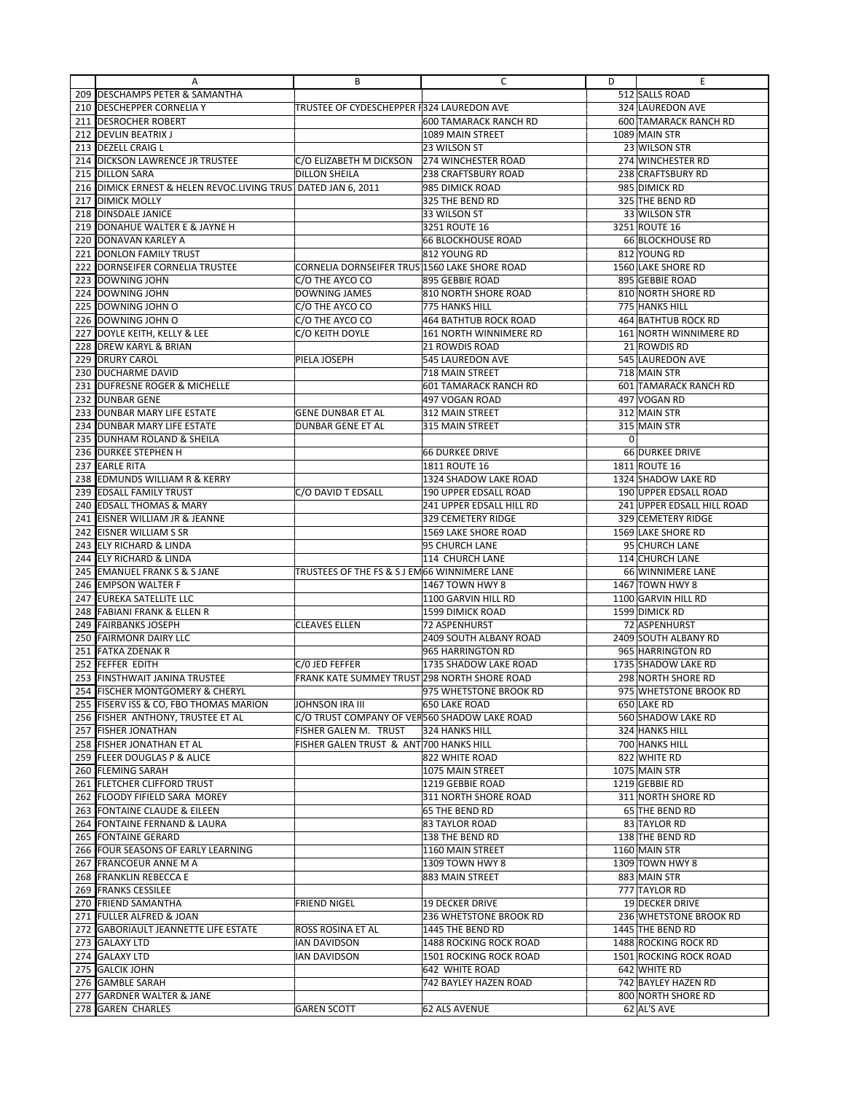|            | Α                                                         | В                                             | C                                      | D              | Ε                                     |
|------------|-----------------------------------------------------------|-----------------------------------------------|----------------------------------------|----------------|---------------------------------------|
| 209        | <b>DESCHAMPS PETER &amp; SAMANTHA</b>                     |                                               |                                        |                | 512 SALLS ROAD                        |
|            | 210 DESCHEPPER CORNELIA Y                                 | TRUSTEE OF CYDESCHEPPER F324 LAUREDON AVE     |                                        |                | 324 LAUREDON AVE                      |
| 211        | <b>IDESROCHER ROBERT</b>                                  |                                               | 600 TAMARACK RANCH RD                  |                | 600 TAMARACK RANCH RD                 |
| 212        | <b>DEVLIN BEATRIX J</b>                                   |                                               | 1089 MAIN STREET                       |                | 1089 MAIN STR                         |
|            | 213 DEZELL CRAIG L                                        |                                               | 23 WILSON ST                           |                | 23 WILSON STR                         |
| 214        | <b>DICKSON LAWRENCE JR TRUSTEE</b>                        | C/O ELIZABETH M DICKSON                       | 274 WINCHESTER ROAD                    |                | 274 WINCHESTER RD                     |
| 215        | <b>DILLON SARA</b>                                        | <b>DILLON SHEILA</b>                          | <b>238 CRAFTSBURY ROAD</b>             |                | 238 CRAFTSBURY RD                     |
| 216        | DIMICK ERNEST & HELEN REVOC.LIVING TRUS DATED JAN 6, 2011 |                                               | 985 DIMICK ROAD                        |                | 985 DIMICK RD                         |
| 217        | <b>DIMICK MOLLY</b>                                       |                                               | 325 THE BEND RD                        |                | 325 THE BEND RD                       |
| 218        | <b>DINSDALE JANICE</b>                                    |                                               | 33 WILSON ST                           |                | 33 WILSON STR                         |
| 219        | DONAHUE WALTER E & JAYNE H                                |                                               | 3251 ROUTE 16                          |                | 3251 ROUTE 16                         |
| 220        | DONAVAN KARLEY A                                          |                                               | <b>66 BLOCKHOUSE ROAD</b>              |                | 66 BLOCKHOUSE RD                      |
| 221        | <b>DONLON FAMILY TRUST</b>                                |                                               | 812 YOUNG RD                           |                | 812 YOUNG RD                          |
| 222        | DORNSEIFER CORNELIA TRUSTEE                               | CORNELIA DORNSEIFER TRUS 1560 LAKE SHORE ROAD |                                        |                | 1560 LAKE SHORE RD                    |
| 223        | DOWNING JOHN                                              | C/O THE AYCO CO                               | 895 GEBBIE ROAD                        |                | 895 GEBBIE ROAD                       |
| 224        | DOWNING JOHN                                              | <b>DOWNING JAMES</b>                          | 810 NORTH SHORE ROAD                   |                | 810 NORTH SHORE RD                    |
| 225        | DOWNING JOHN O                                            | C/O THE AYCO CO                               | 775 HANKS HILL                         |                | 775 HANKS HILL                        |
| 226        | DOWNING JOHN O                                            | C/O THE AYCO CO                               | <b>464 BATHTUB ROCK ROAD</b>           |                | 464 BATHTUB ROCK RD                   |
| 227        | DOYLE KEITH, KELLY & LEE                                  | C/O KEITH DOYLE                               | 161 NORTH WINNIMERE RD                 |                | 161 NORTH WINNIMERE RD                |
| 228        | <b>DREW KARYL &amp; BRIAN</b>                             |                                               | 21 ROWDIS ROAD                         |                | 21 ROWDIS RD                          |
| 229        | <b>DRURY CAROL</b>                                        | PIELA JOSEPH                                  | <b>545 LAUREDON AVE</b>                |                | 545 LAUREDON AVE                      |
|            | 230 DUCHARME DAVID                                        |                                               | 718 MAIN STREET                        |                | 718 MAIN STR                          |
| 231        | <b>DUFRESNE ROGER &amp; MICHELLE</b>                      |                                               | 601 TAMARACK RANCH RD                  |                | 601 TAMARACK RANCH RD                 |
| 232        | <b>DUNBAR GENE</b>                                        |                                               | 497 VOGAN ROAD                         |                | 497 VOGAN RD                          |
| 233        | <b>DUNBAR MARY LIFE ESTATE</b>                            | <b>GENE DUNBAR ET AL</b>                      | <b>312 MAIN STREET</b>                 |                | 312 MAIN STR                          |
| 234        | DUNBAR MARY LIFE ESTATE                                   | DUNBAR GENE ET AL                             | 315 MAIN STREET                        |                | 315 MAIN STR                          |
| 235        | <b>DUNHAM ROLAND &amp; SHEILA</b>                         |                                               |                                        | $\overline{0}$ |                                       |
| 236        | <b>DURKEE STEPHEN H</b>                                   |                                               | <b>66 DURKEE DRIVE</b>                 |                | 66 DURKEE DRIVE                       |
| 237        | <b>EARLE RITA</b>                                         |                                               | 1811 ROUTE 16                          |                | 1811 ROUTE 16                         |
| 238        | <b>EDMUNDS WILLIAM R &amp; KERRY</b>                      |                                               | 1324 SHADOW LAKE ROAD                  |                | 1324 SHADOW LAKE RD                   |
| 239        | <b>EDSALL FAMILY TRUST</b>                                | C/O DAVID T EDSALL                            | 190 UPPER EDSALL ROAD                  |                | 190 UPPER EDSALL ROAD                 |
| 240        | <b>EDSALL THOMAS &amp; MARY</b>                           |                                               | 241 UPPER EDSALL HILL RD               |                | 241 UPPER EDSALL HILL ROAD            |
| 241        | EISNER WILLIAM JR & JEANNE                                |                                               | 329 CEMETERY RIDGE                     |                | 329 CEMETERY RIDGE                    |
| 242        | EISNER WILLIAM S SR                                       |                                               | 1569 LAKE SHORE ROAD                   |                | 1569 LAKE SHORE RD                    |
| 243        | <b>ELY RICHARD &amp; LINDA</b>                            |                                               | 95 CHURCH LANE                         |                | 95 CHURCH LANE                        |
| 244        | <b>ELY RICHARD &amp; LINDA</b>                            |                                               | 114 CHURCH LANE                        |                | 114 CHURCH LANE                       |
| 245        | <b>EMANUEL FRANK S &amp; S JANE</b>                       | TRUSTEES OF THE FS & S J EM 66 WINNIMERE LANE |                                        |                | 66 WINNIMERE LANE                     |
| 246        | <b>EMPSON WALTER F</b><br>EUREKA SATELLITE LLC            |                                               | 1467 TOWN HWY 8<br>1100 GARVIN HILL RD |                | 1467 TOWN HWY 8                       |
| 247        | <b>FABIANI FRANK &amp; ELLEN R</b>                        |                                               | 1599 DIMICK ROAD                       |                | 1100 GARVIN HILL RD<br>1599 DIMICK RD |
| 248<br>249 | <b>FAIRBANKS JOSEPH</b>                                   | <b>CLEAVES ELLEN</b>                          | <b>72 ASPENHURST</b>                   |                | 72 ASPENHURST                         |
| 250        | <b>FAIRMONR DAIRY LLC</b>                                 |                                               | 2409 SOUTH ALBANY ROAD                 |                | 2409 SOUTH ALBANY RD                  |
| 251        | <b>FATKA ZDENAK R</b>                                     |                                               | 965 HARRINGTON RD                      |                | 965 HARRINGTON RD                     |
| 252        | FEFFER EDITH                                              | C/O JED FEFFER                                | 1735 SHADOW LAKE ROAD                  |                | 1735 SHADOW LAKE RD                   |
| 253        | <b>FINSTHWAIT JANINA TRUSTEE</b>                          | FRANK KATE SUMMEY TRUST 298 NORTH SHORE ROAD  |                                        |                | 298 NORTH SHORE RD                    |
|            | 254 FISCHER MONTGOMERY & CHERYL                           |                                               | 975 WHETSTONE BROOK RD                 |                | 975 WHETSTONE BROOK RD                |
|            | 255 FISERV ISS & CO, FBO THOMAS MARION                    | JOHNSON IRA III                               | 650 LAKE ROAD                          |                | 650 LAKE RD                           |
|            | 256 FISHER ANTHONY, TRUSTEE ET AL                         | C/O TRUST COMPANY OF VER560 SHADOW LAKE ROAD  |                                        |                | 560 SHADOW LAKE RD                    |
|            | 257 FISHER JONATHAN                                       | FISHER GALEN M. TRUST                         | 324 HANKS HILL                         |                | 324 HANKS HILL                        |
|            | 258 FISHER JONATHAN ET AL                                 | FISHER GALEN TRUST & ANT 700 HANKS HILL       |                                        |                | 700 HANKS HILL                        |
|            | 259 FLEER DOUGLAS P & ALICE                               |                                               | 822 WHITE ROAD                         |                | 822 WHITE RD                          |
|            | 260 FLEMING SARAH                                         |                                               | 1075 MAIN STREET                       |                | 1075 MAIN STR                         |
|            | 261 FLETCHER CLIFFORD TRUST                               |                                               | 1219 GEBBIE ROAD                       |                | 1219 GEBBIE RD                        |
|            | 262 FLOODY FIFIELD SARA MOREY                             |                                               | 311 NORTH SHORE ROAD                   |                | 311 NORTH SHORE RD                    |
|            | 263 FONTAINE CLAUDE & EILEEN                              |                                               | 65 THE BEND RD                         |                | 65 THE BEND RD                        |
|            | 264 FONTAINE FERNAND & LAURA                              |                                               | <b>83 TAYLOR ROAD</b>                  |                | 83 TAYLOR RD                          |
|            | 265 FONTAINE GERARD                                       |                                               | 138 THE BEND RD                        |                | 138 THE BEND RD                       |
|            | 266 FOUR SEASONS OF EARLY LEARNING                        |                                               | 1160 MAIN STREET                       |                | 1160 MAIN STR                         |
|            | 267 FRANCOEUR ANNE M A                                    |                                               | 1309 TOWN HWY 8                        |                | 1309 TOWN HWY 8                       |
|            | 268 FRANKLIN REBECCA E                                    |                                               | 883 MAIN STREET                        |                | 883 MAIN STR                          |
|            | 269 FRANKS CESSILEE                                       |                                               |                                        |                | 777 TAYLOR RD                         |
|            | 270 FRIEND SAMANTHA                                       | <b>FRIEND NIGEL</b>                           | <b>19 DECKER DRIVE</b>                 |                | 19 DECKER DRIVE                       |
|            | 271 FULLER ALFRED & JOAN                                  |                                               | 236 WHETSTONE BROOK RD                 |                | 236 WHETSTONE BROOK RD                |
|            | 272 GABORIAULT JEANNETTE LIFE ESTATE                      | ROSS ROSINA ET AL                             | 1445 THE BEND RD                       |                | 1445 THE BEND RD                      |
|            | 273 GALAXY LTD                                            | <b>IAN DAVIDSON</b>                           | 1488 ROCKING ROCK ROAD                 |                | 1488 ROCKING ROCK RD                  |
| 274        | <b>GALAXY LTD</b>                                         | IAN DAVIDSON                                  | 1501 ROCKING ROCK ROAD                 |                | 1501 ROCKING ROCK ROAD                |
|            | 275 GALCIK JOHN                                           |                                               | 642 WHITE ROAD                         |                | 642 WHITE RD                          |
|            | 276 GAMBLE SARAH                                          |                                               | 742 BAYLEY HAZEN ROAD                  |                | 742 BAYLEY HAZEN RD                   |
|            | 277 GARDNER WALTER & JANE                                 |                                               |                                        |                | 800 NORTH SHORE RD                    |
|            | 278 GAREN CHARLES                                         | <b>GAREN SCOTT</b>                            | 62 ALS AVENUE                          |                | 62 AL'S AVE                           |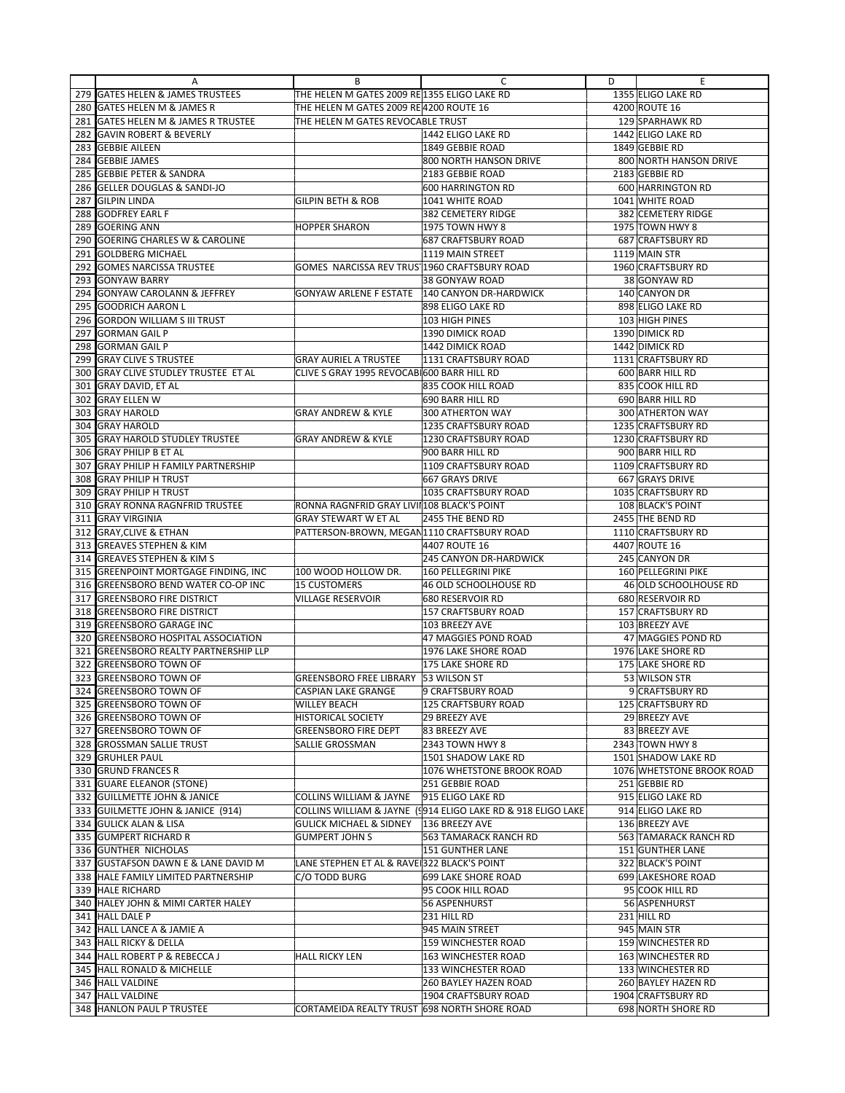|            | A                                                                  | В                                            | С                                                           | D | Ε                                     |
|------------|--------------------------------------------------------------------|----------------------------------------------|-------------------------------------------------------------|---|---------------------------------------|
| 279        | <b>GATES HELEN &amp; JAMES TRUSTEES</b>                            | THE HELEN M GATES 2009 RE 1355 ELIGO LAKE RD |                                                             |   | 1355 ELIGO LAKE RD                    |
|            | 280 GATES HELEN M & JAMES R                                        | THE HELEN M GATES 2009 RE 4200 ROUTE 16      |                                                             |   | 4200 ROUTE 16                         |
| 281        | <b>GATES HELEN M &amp; JAMES R TRUSTEE</b>                         | THE HELEN M GATES REVOCABLE TRUST            |                                                             |   | 129 SPARHAWK RD                       |
| 282        | <b>GAVIN ROBERT &amp; BEVERLY</b>                                  |                                              | 1442 ELIGO LAKE RD                                          |   | 1442 ELIGO LAKE RD                    |
| 283        | <b>GEBBIE AILEEN</b>                                               |                                              | 1849 GEBBIE ROAD                                            |   | 1849 GEBBIE RD                        |
| 284        | <b>GEBBIE JAMES</b>                                                |                                              | 800 NORTH HANSON DRIVE                                      |   | 800 NORTH HANSON DRIVE                |
| 285        | <b>GEBBIE PETER &amp; SANDRA</b>                                   |                                              | 2183 GEBBIE ROAD                                            |   | 2183 GEBBIE RD                        |
| 286        | <b>GELLER DOUGLAS &amp; SANDI-JO</b>                               |                                              | 600 HARRINGTON RD                                           |   | 600 HARRINGTON RD                     |
| 287        | <b>GILPIN LINDA</b>                                                | <b>GILPIN BETH &amp; ROB</b>                 | 1041 WHITE ROAD                                             |   | 1041 WHITE ROAD                       |
| 288        | <b>GODFREY EARL F</b>                                              |                                              | 382 CEMETERY RIDGE                                          |   | 382 CEMETERY RIDGE                    |
| 289        | <b>GOERING ANN</b>                                                 | <b>HOPPER SHARON</b>                         | 1975 TOWN HWY 8                                             |   | 1975 TOWN HWY 8                       |
| 290        | <b>GOERING CHARLES W &amp; CAROLINE</b>                            |                                              | 687 CRAFTSBURY ROAD                                         |   | 687 CRAFTSBURY RD                     |
| 291        | <b>GOLDBERG MICHAEL</b>                                            |                                              | 1119 MAIN STREET                                            |   | 1119 MAIN STR                         |
| 292        | <b>GOMES NARCISSA TRUSTEE</b>                                      | GOMES NARCISSA REV TRUS 1960 CRAFTSBURY ROAD |                                                             |   | 1960 CRAFTSBURY RD                    |
| 293        | <b>GONYAW BARRY</b>                                                |                                              | 38 GONYAW ROAD                                              |   | 38 GONYAW RD                          |
| 294        | <b>GONYAW CAROLANN &amp; JEFFREY</b>                               | <b>GONYAW ARLENE F ESTATE</b>                | 140 CANYON DR-HARDWICK                                      |   | 140 CANYON DR                         |
| 295        | <b>GOODRICH AARON L</b>                                            |                                              | 898 ELIGO LAKE RD                                           |   | 898 ELIGO LAKE RD                     |
| 296        | <b>GORDON WILLIAM S III TRUST</b>                                  |                                              | 103 HIGH PINES                                              |   | 103 HIGH PINES                        |
| 297        | <b>GORMAN GAIL P</b>                                               |                                              | 1390 DIMICK ROAD                                            |   | 1390 DIMICK RD                        |
| 298        | <b>GORMAN GAIL P</b>                                               |                                              | 1442 DIMICK ROAD                                            |   | 1442 DIMICK RD                        |
| 299        | <b>GRAY CLIVE S TRUSTEE</b>                                        | <b>GRAY AURIEL A TRUSTEE</b>                 | 1131 CRAFTSBURY ROAD                                        |   | 1131 CRAFTSBURY RD                    |
| 300        | <b>GRAY CLIVE STUDLEY TRUSTEE ET AL</b>                            | CLIVE S GRAY 1995 REVOCAB 600 BARR HILL RD   |                                                             |   | 600 BARR HILL RD                      |
| 301        | <b>GRAY DAVID, ET AL</b>                                           |                                              | 835 COOK HILL ROAD                                          |   | 835 COOK HILL RD                      |
| 302        | <b>GRAY ELLEN W</b>                                                |                                              | 690 BARR HILL RD                                            |   | 690 BARR HILL RD                      |
| 303        | <b>GRAY HAROLD</b>                                                 | <b>GRAY ANDREW &amp; KYLE</b>                | 300 ATHERTON WAY                                            |   | 300 ATHERTON WAY                      |
| 304        | <b>GRAY HAROLD</b>                                                 |                                              | 1235 CRAFTSBURY ROAD                                        |   | 1235 CRAFTSBURY RD                    |
| 305        | <b>GRAY HAROLD STUDLEY TRUSTEE</b>                                 | <b>GRAY ANDREW &amp; KYLE</b>                | 1230 CRAFTSBURY ROAD                                        |   | 1230 CRAFTSBURY RD                    |
| 306        | <b>GRAY PHILIP B ET AL</b>                                         |                                              | 900 BARR HILL RD                                            |   | 900 BARR HILL RD                      |
| 307        | <b>GRAY PHILIP H FAMILY PARTNERSHIP</b>                            |                                              | 1109 CRAFTSBURY ROAD                                        |   | 1109 CRAFTSBURY RD                    |
| 308        | <b>GRAY PHILIP H TRUST</b>                                         |                                              | 667 GRAYS DRIVE                                             |   | 667 GRAYS DRIVE                       |
| 309        | <b>GRAY PHILIP H TRUST</b>                                         |                                              | 1035 CRAFTSBURY ROAD                                        |   | 1035 CRAFTSBURY RD                    |
| 310        | <b>GRAY RONNA RAGNERID TRUSTEE</b>                                 | RONNA RAGNFRID GRAY LIVII 108 BLACK'S POINT  |                                                             |   | 108 BLACK'S POINT                     |
| 311        | <b>GRAY VIRGINIA</b>                                               | <b>GRAY STEWART W ET AL</b>                  | 2455 THE BEND RD                                            |   | 2455 THE BEND RD                      |
| 312        | <b>GRAY, CLIVE &amp; ETHAN</b>                                     | PATTERSON-BROWN, MEGAN1110 CRAFTSBURY ROAD   |                                                             |   | 1110 CRAFTSBURY RD                    |
| 313        | <b>GREAVES STEPHEN &amp; KIM</b>                                   |                                              | 4407 ROUTE 16                                               |   | 4407 ROUTE 16                         |
| 314        | <b>GREAVES STEPHEN &amp; KIM S</b>                                 |                                              | 245 CANYON DR-HARDWICK                                      |   | 245 CANYON DR                         |
| 315        | <b>GREENPOINT MORTGAGE FINDING, INC</b>                            | 100 WOOD HOLLOW DR.                          | 160 PELLEGRINI PIKE                                         |   | 160 PELLEGRINI PIKE                   |
| 316        | <b>GREENSBORO BEND WATER CO-OP INC</b>                             | <b>15 CUSTOMERS</b>                          | 46 OLD SCHOOLHOUSE RD                                       |   | 46 OLD SCHOOLHOUSE RD                 |
| 317        | <b>GREENSBORO FIRE DISTRICT</b><br><b>GREENSBORO FIRE DISTRICT</b> | <b>VILLAGE RESERVOIR</b>                     | 680 RESERVOIR RD<br><b>157 CRAFTSBURY ROAD</b>              |   | 680 RESERVOIR RD<br>157 CRAFTSBURY RD |
| 318<br>319 | <b>GREENSBORO GARAGE INC</b>                                       |                                              | 103 BREEZY AVE                                              |   | 103 BREEZY AVE                        |
| 320        | <b>GREENSBORO HOSPITAL ASSOCIATION</b>                             |                                              | 47 MAGGIES POND ROAD                                        |   | 47 MAGGIES POND RD                    |
| 321        | <b>GREENSBORO REALTY PARTNERSHIP LLP</b>                           |                                              | 1976 LAKE SHORE ROAD                                        |   | 1976 LAKE SHORE RD                    |
| 322        | <b>GREENSBORO TOWN OF</b>                                          |                                              | 175 LAKE SHORE RD                                           |   | 175 LAKE SHORE RD                     |
| 323        | <b>GREENSBORO TOWN OF</b>                                          | GREENSBORO FREE LIBRARY 153 WILSON ST        |                                                             |   | 53 WILSON STR                         |
|            | 324 GREENSBORO TOWN OF                                             | <b>CASPIAN LAKE GRANGE</b>                   | 9 CRAFTSBURY ROAD                                           |   | 9 CRAFTSBURY RD                       |
|            | 325 GREENSBORO TOWN OF                                             | <b>WILLEY BEACH</b>                          | 125 CRAFTSBURY ROAD                                         |   | 125 CRAFTSBURY RD                     |
|            | 326 GREENSBORO TOWN OF                                             | <b>HISTORICAL SOCIETY</b>                    | 29 BREEZY AVE                                               |   | 29 BREEZY AVE                         |
|            | 327 GREENSBORO TOWN OF                                             | <b>GREENSBORO FIRE DEPT</b>                  | 83 BREEZY AVE                                               |   | 83 BREEZY AVE                         |
|            | 328 GROSSMAN SALLIE TRUST                                          | <b>SALLIE GROSSMAN</b>                       | 2343 TOWN HWY 8                                             |   | 2343 TOWN HWY 8                       |
| 329        | <b>GRUHLER PAUL</b>                                                |                                              | 1501 SHADOW LAKE RD                                         |   | 1501 SHADOW LAKE RD                   |
|            | 330 GRUND FRANCES R                                                |                                              | 1076 WHETSTONE BROOK ROAD                                   |   | 1076 WHETSTONE BROOK ROAD             |
|            | 331 GUARE ELEANOR (STONE)                                          |                                              | 251 GEBBIE ROAD                                             |   | 251 GEBBIE RD                         |
|            | 332 GUILLMETTE JOHN & JANICE                                       | <b>COLLINS WILLIAM &amp; JAYNE</b>           | 915 ELIGO LAKE RD                                           |   | 915 ELIGO LAKE RD                     |
|            | 333 GUILMETTE JOHN & JANICE (914)                                  |                                              | COLLINS WILLIAM & JAYNE (914 ELIGO LAKE RD & 918 ELIGO LAKE |   | 914 ELIGO LAKE RD                     |
|            | 334 GULICK ALAN & LISA                                             | <b>GULICK MICHAEL &amp; SIDNEY</b>           | 136 BREEZY AVE                                              |   | 136 BREEZY AVE                        |
|            | 335 GUMPERT RICHARD R                                              | <b>GUMPERT JOHN S</b>                        | 563 TAMARACK RANCH RD                                       |   | 563 TAMARACK RANCH RD                 |
|            | 336 GUNTHER NICHOLAS                                               |                                              | <b>151 GUNTHER LANE</b>                                     |   | 151 GUNTHER LANE                      |
|            | 337 GUSTAFSON DAWN E & LANE DAVID M                                | LANE STEPHEN ET AL & RAVE 322 BLACK'S POINT  |                                                             |   | 322 BLACK'S POINT                     |
|            | 338 HALE FAMILY LIMITED PARTNERSHIP                                | C/O TODD BURG                                | 699 LAKE SHORE ROAD                                         |   | 699 LAKESHORE ROAD                    |
|            | 339 HALE RICHARD                                                   |                                              | 95 COOK HILL ROAD                                           |   | 95 COOK HILL RD                       |
|            | 340 HALEY JOHN & MIMI CARTER HALEY                                 |                                              | 56 ASPENHURST                                               |   | 56 ASPENHURST                         |
|            | 341 HALL DALE P                                                    |                                              | 231 HILL RD                                                 |   | 231 HILL RD                           |
|            | 342 HALL LANCE A & JAMIE A                                         |                                              | 945 MAIN STREET                                             |   | 945 MAIN STR                          |
|            | 343 HALL RICKY & DELLA                                             |                                              | 159 WINCHESTER ROAD                                         |   | 159 WINCHESTER RD                     |
|            | 344 HALL ROBERT P & REBECCA J                                      | <b>HALL RICKY LEN</b>                        | 163 WINCHESTER ROAD                                         |   | 163 WINCHESTER RD                     |
|            | 345 HALL RONALD & MICHELLE                                         |                                              | 133 WINCHESTER ROAD                                         |   | 133 WINCHESTER RD                     |
|            | 346 HALL VALDINE                                                   |                                              | 260 BAYLEY HAZEN ROAD                                       |   | 260 BAYLEY HAZEN RD                   |
|            | 347 HALL VALDINE                                                   |                                              | 1904 CRAFTSBURY ROAD                                        |   | 1904 CRAFTSBURY RD                    |
|            | 348 HANLON PAUL P TRUSTEE                                          | CORTAMEIDA REALTY TRUST 698 NORTH SHORE ROAD |                                                             |   | 698 NORTH SHORE RD                    |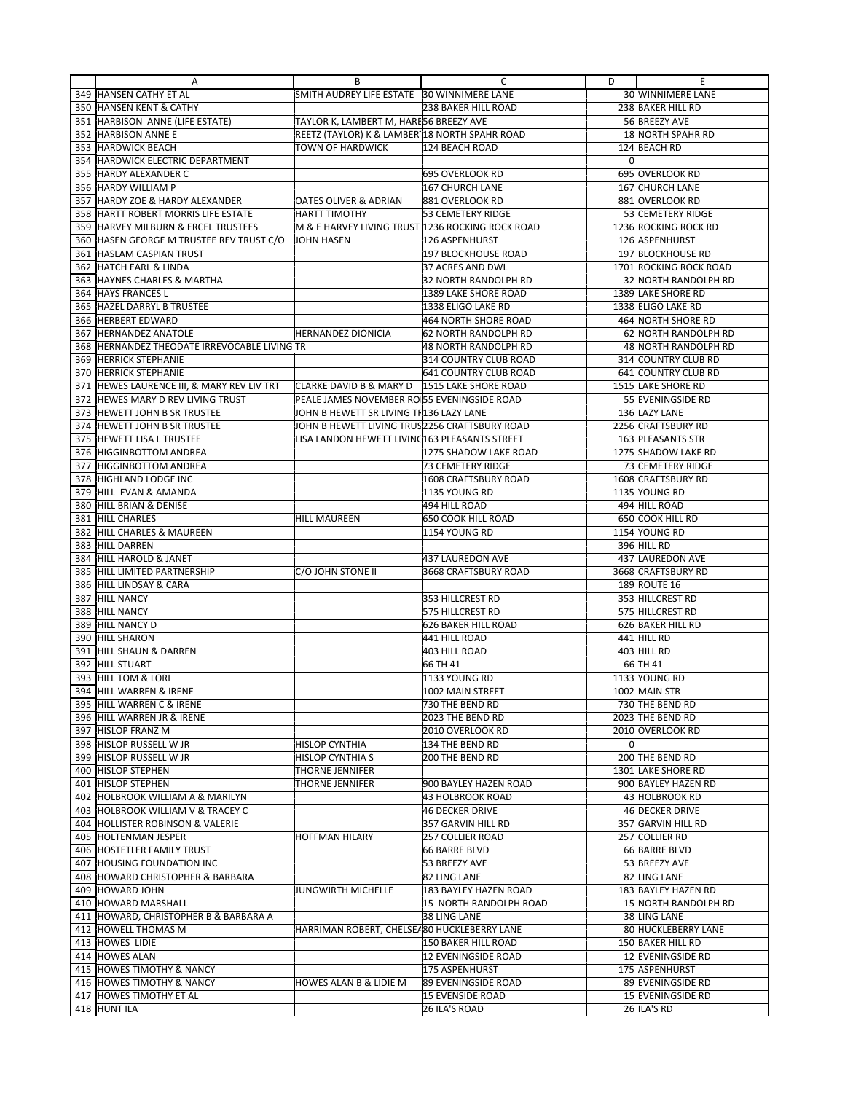|     | A                                                                  | В                                                | с                                   | D           | Ε                                 |
|-----|--------------------------------------------------------------------|--------------------------------------------------|-------------------------------------|-------------|-----------------------------------|
|     | 349 HANSEN CATHY ET AL                                             | SMITH AUDREY LIFE ESTATE 30 WINNIMERE LANE       |                                     |             | 30 WINNIMERE LANE                 |
|     | 350 HANSEN KENT & CATHY                                            |                                                  | <b>238 BAKER HILL ROAD</b>          |             | 238 BAKER HILL RD                 |
| 351 | HARBISON ANNE (LIFE ESTATE)                                        | TAYLOR K, LAMBERT M, HARES6 BREEZY AVE           |                                     |             | 56 BREEZY AVE                     |
| 352 | <b>HARBISON ANNE E</b>                                             | REETZ (TAYLOR) K & LAMBER 18 NORTH SPAHR ROAD    |                                     |             | <b>18 NORTH SPAHR RD</b>          |
| 353 | <b>HARDWICK BEACH</b>                                              | TOWN OF HARDWICK                                 | 124 BEACH ROAD                      |             | 124 BEACH RD                      |
| 354 | <b>HARDWICK ELECTRIC DEPARTMENT</b>                                |                                                  |                                     | 0           |                                   |
| 355 | HARDY ALEXANDER C                                                  |                                                  | 695 OVERLOOK RD                     |             | 695 OVERLOOK RD                   |
| 356 | <b>HARDY WILLIAM P</b>                                             |                                                  | 167 CHURCH LANE                     |             | 167 CHURCH LANE                   |
|     |                                                                    |                                                  |                                     |             |                                   |
| 357 | HARDY ZOE & HARDY ALEXANDER<br>358 HARTT ROBERT MORRIS LIFE ESTATE | <b>OATES OLIVER &amp; ADRIAN</b>                 | 881 OVERLOOK RD                     |             | 881 OVERLOOK RD                   |
|     |                                                                    | <b>HARTT TIMOTHY</b>                             | 53 CEMETERY RIDGE                   |             | 53 CEMETERY RIDGE                 |
| 359 | <b>HARVEY MILBURN &amp; ERCEL TRUSTEES</b>                         | M & E HARVEY LIVING TRUST 1236 ROCKING ROCK ROAD |                                     |             | 1236 ROCKING ROCK RD              |
|     | 360 HASEN GEORGE M TRUSTEE REV TRUST C/O                           | <b>JOHN HASEN</b>                                | 126 ASPENHURST                      |             | 126 ASPENHURST                    |
| 361 | <b>HASLAM CASPIAN TRUST</b>                                        |                                                  | <b>197 BLOCKHOUSE ROAD</b>          |             | 197 BLOCKHOUSE RD                 |
| 362 | <b>HATCH EARL &amp; LINDA</b>                                      |                                                  | 37 ACRES AND DWL                    |             | 1701 ROCKING ROCK ROAD            |
| 363 | <b>HAYNES CHARLES &amp; MARTHA</b>                                 |                                                  | 32 NORTH RANDOLPH RD                |             | 32 NORTH RANDOLPH RD              |
| 364 | <b>HAYS FRANCES L</b>                                              |                                                  | 1389 LAKE SHORE ROAD                |             | 1389 LAKE SHORE RD                |
| 365 | HAZEL DARRYL B TRUSTEE                                             |                                                  | 1338 ELIGO LAKE RD                  |             | 1338 ELIGO LAKE RD                |
| 366 | <b>HERBERT EDWARD</b>                                              |                                                  | 464 NORTH SHORE ROAD                |             | 464 NORTH SHORE RD                |
| 367 | <b>HERNANDEZ ANATOLE</b>                                           | <b>HERNANDEZ DIONICIA</b>                        | 62 NORTH RANDOLPH RD                |             | 62 NORTH RANDOLPH RD              |
| 368 | HERNANDEZ THEODATE IRREVOCABLE LIVING TR                           |                                                  | 48 NORTH RANDOLPH RD                |             | <b>48 NORTH RANDOLPH RD</b>       |
| 369 | <b>HERRICK STEPHANIE</b>                                           |                                                  | 314 COUNTRY CLUB ROAD               |             | 314 COUNTRY CLUB RD               |
| 370 | <b>HERRICK STEPHANIE</b>                                           |                                                  | 641 COUNTRY CLUB ROAD               |             | 641 COUNTRY CLUB RD               |
| 371 | HEWES LAURENCE III, & MARY REV LIV TRT                             | CLARKE DAVID B & MARY D   1515 LAKE SHORE ROAD   |                                     |             | 1515 LAKE SHORE RD                |
| 372 | HEWES MARY D REV LIVING TRUST                                      | PEALE JAMES NOVEMBER RO 55 EVENINGSIDE ROAD      |                                     |             | 55 EVENINGSIDE RD                 |
| 373 | <b>HEWETT JOHN B SR TRUSTEE</b>                                    | JOHN B HEWETT SR LIVING TF136 LAZY LANE          |                                     |             | 136 LAZY LANE                     |
| 374 | <b>HEWETT JOHN B SR TRUSTEE</b>                                    | JOHN B HEWETT LIVING TRUS 2256 CRAFTSBURY ROAD   |                                     |             | 2256 CRAFTSBURY RD                |
| 375 | HEWETT LISA L TRUSTEE                                              | LISA LANDON HEWETT LIVINC 163 PLEASANTS STREET   |                                     |             | 163 PLEASANTS STR                 |
| 376 | <b>HIGGINBOTTOM ANDREA</b>                                         |                                                  | 1275 SHADOW LAKE ROAD               |             | 1275 SHADOW LAKE RD               |
| 377 | <b>HIGGINBOTTOM ANDREA</b>                                         |                                                  | <b>73 CEMETERY RIDGE</b>            |             | 73 CEMETERY RIDGE                 |
| 378 | HIGHLAND LODGE INC                                                 |                                                  | 1608 CRAFTSBURY ROAD                |             | 1608 CRAFTSBURY RD                |
| 379 | HILL EVAN & AMANDA                                                 |                                                  | 1135 YOUNG RD                       |             | 1135 YOUNG RD                     |
|     | HILL BRIAN & DENISE                                                |                                                  |                                     |             |                                   |
| 380 | <b>HILL CHARLES</b>                                                | <b>HILL MAUREEN</b>                              | 494 HILL ROAD<br>650 COOK HILL ROAD |             | 494 HILL ROAD<br>650 COOK HILL RD |
| 381 |                                                                    |                                                  |                                     |             |                                   |
| 382 | HILL CHARLES & MAUREEN                                             |                                                  | 1154 YOUNG RD                       |             | 1154 YOUNG RD                     |
| 383 | <b>HILL DARREN</b>                                                 |                                                  |                                     |             | 396 HILL RD                       |
| 384 | HILL HAROLD & JANET                                                |                                                  | 437 LAUREDON AVE                    |             | 437 LAUREDON AVE                  |
| 385 | HILL LIMITED PARTNERSHIP                                           | C/O JOHN STONE II                                | 3668 CRAFTSBURY ROAD                |             | 3668 CRAFTSBURY RD                |
| 386 | HILL LINDSAY & CARA                                                |                                                  |                                     |             | 189 ROUTE 16                      |
| 387 | <b>HILL NANCY</b>                                                  |                                                  | 353 HILLCREST RD                    |             | 353 HILLCREST RD                  |
| 388 | <b>HILL NANCY</b>                                                  |                                                  | 575 HILLCREST RD                    |             | 575 HILLCREST RD                  |
| 389 | HILL NANCY D                                                       |                                                  | <b>626 BAKER HILL ROAD</b>          |             | 626 BAKER HILL RD                 |
| 390 | <b>HILL SHARON</b>                                                 |                                                  | 441 HILL ROAD                       |             | 441 HILL RD                       |
| 391 | HILL SHAUN & DARREN                                                |                                                  | 403 HILL ROAD                       |             | 403 HILL RD                       |
| 392 | <b>HILL STUART</b>                                                 |                                                  | 66 TH 41                            |             | 66 TH 41                          |
| 393 | <b>HILL TOM &amp; LORI</b>                                         |                                                  | 1133 YOUNG RD                       |             | 1133 YOUNG RD                     |
|     | 394 HILL WARREN & IRENE                                            |                                                  | 1002 MAIN STREET                    |             | 1002 MAIN STR                     |
|     | 395 HILL WARREN C & IRENE                                          |                                                  | 730 THE BEND RD                     |             | 730 THE BEND RD                   |
|     | 396 HILL WARREN JR & IRENE                                         |                                                  | 2023 THE BEND RD                    |             | 2023 THE BEND RD                  |
|     | 397 HISLOP FRANZ M                                                 |                                                  | 2010 OVERLOOK RD                    |             | 2010 OVERLOOK RD                  |
|     | 398 HISLOP RUSSELL W JR                                            | HISLOP CYNTHIA                                   | 134 THE BEND RD                     | $\mathbf 0$ |                                   |
|     | 399 HISLOP RUSSELL W JR                                            | HISLOP CYNTHIA S                                 | 200 THE BEND RD                     |             | 200 THE BEND RD                   |
|     | 400 HISLOP STEPHEN                                                 | THORNE JENNIFER                                  |                                     |             | 1301 LAKE SHORE RD                |
|     | 401 HISLOP STEPHEN                                                 | THORNE JENNIFER                                  | 900 BAYLEY HAZEN ROAD               |             | 900 BAYLEY HAZEN RD               |
|     | 402 HOLBROOK WILLIAM A & MARILYN                                   |                                                  | 43 HOLBROOK ROAD                    |             | 43 HOLBROOK RD                    |
|     | 403 HOLBROOK WILLIAM V & TRACEY C                                  |                                                  | <b>46 DECKER DRIVE</b>              |             | 46 DECKER DRIVE                   |
|     | 404 HOLLISTER ROBINSON & VALERIE                                   |                                                  | 357 GARVIN HILL RD                  |             | 357 GARVIN HILL RD                |
|     | 405 HOLTENMAN JESPER                                               | <b>HOFFMAN HILARY</b>                            | <b>257 COLLIER ROAD</b>             |             | 257 COLLIER RD                    |
|     | 406 HOSTETLER FAMILY TRUST                                         |                                                  | 66 BARRE BLVD                       |             | 66 BARRE BLVD                     |
|     | 407 HOUSING FOUNDATION INC                                         |                                                  | 53 BREEZY AVE                       |             | 53 BREEZY AVE                     |
|     | 408 HOWARD CHRISTOPHER & BARBARA                                   |                                                  | 82 LING LANE                        |             | 82 LING LANE                      |
|     | 409 HOWARD JOHN                                                    | JUNGWIRTH MICHELLE                               | 183 BAYLEY HAZEN ROAD               |             | 183 BAYLEY HAZEN RD               |
|     |                                                                    |                                                  |                                     |             | 15 NORTH RANDOLPH RD              |
|     | 410 HOWARD MARSHALL                                                |                                                  | 15 NORTH RANDOLPH ROAD              |             |                                   |
|     | 411 HOWARD, CHRISTOPHER B & BARBARA A                              |                                                  | 38 LING LANE                        |             | 38 LING LANE                      |
|     | 412 HOWELL THOMAS M                                                | HARRIMAN ROBERT, CHELSEA80 HUCKLEBERRY LANE      |                                     |             | 80 HUCKLEBERRY LANE               |
|     | 413 HOWES LIDIE                                                    |                                                  | 150 BAKER HILL ROAD                 |             | 150 BAKER HILL RD                 |
|     | 414 HOWES ALAN                                                     |                                                  | 12 EVENINGSIDE ROAD                 |             | 12 EVENINGSIDE RD                 |
|     | 415 HOWES TIMOTHY & NANCY                                          |                                                  | 175 ASPENHURST                      |             | 175 ASPENHURST                    |
|     | 416 HOWES TIMOTHY & NANCY                                          | HOWES ALAN B & LIDIE M                           | 89 EVENINGSIDE ROAD                 |             | 89 EVENINGSIDE RD                 |
|     | 417 HOWES TIMOTHY ET AL                                            |                                                  | 15 EVENSIDE ROAD                    |             | 15 EVENINGSIDE RD                 |
|     | 418 HUNT ILA                                                       |                                                  | 26 ILA'S ROAD                       |             | 26 ILA'S RD                       |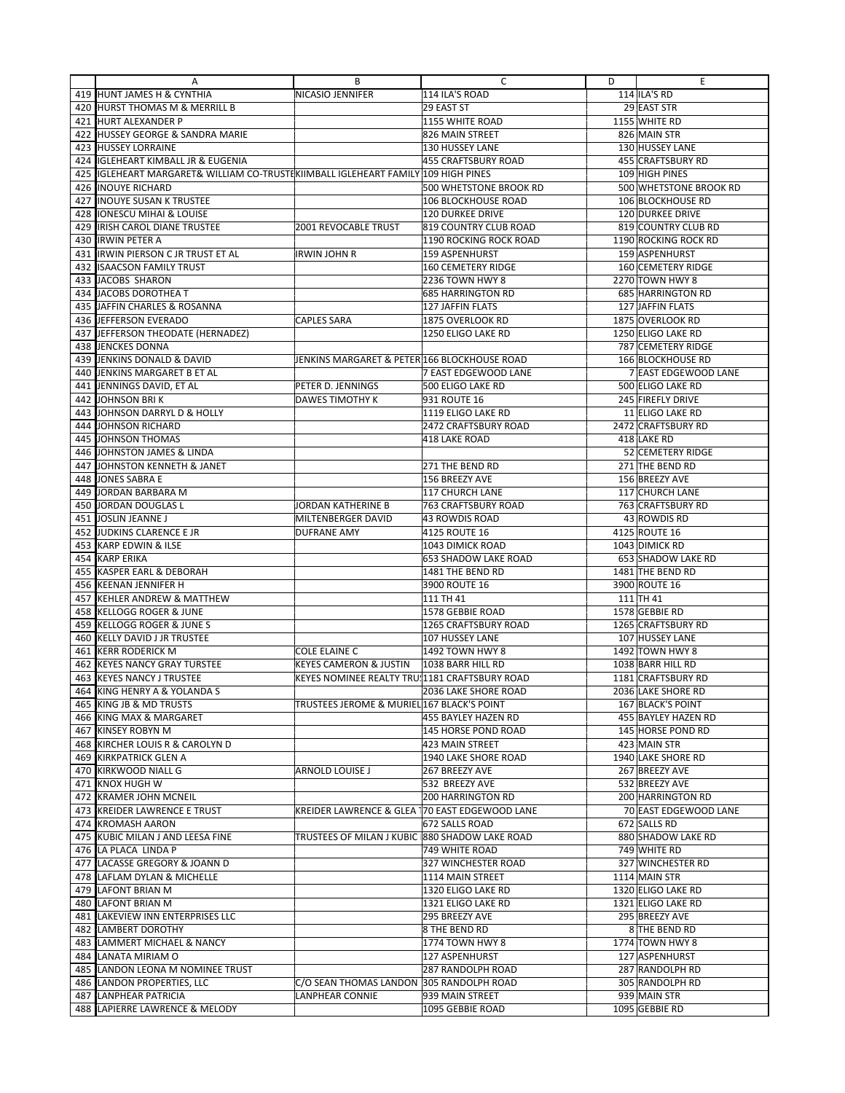|            | Α                                                                             | В                                              | с                                  | D | Ε                                          |
|------------|-------------------------------------------------------------------------------|------------------------------------------------|------------------------------------|---|--------------------------------------------|
|            | 419 HUNT JAMES H & CYNTHIA                                                    | NICASIO JENNIFER                               | 114 ILA'S ROAD                     |   | 114 ILA'S RD                               |
|            | 420  HURST THOMAS M & MERRILL B                                               |                                                | 29 EAST ST                         |   | 29 EAST STR                                |
|            | 421 HURT ALEXANDER P                                                          |                                                | 1155 WHITE ROAD                    |   | 1155 WHITE RD                              |
| 422        | <b>HUSSEY GEORGE &amp; SANDRA MARIE</b>                                       |                                                | 826 MAIN STREET                    |   | 826 MAIN STR                               |
| 423        | <b>HUSSEY LORRAINE</b>                                                        |                                                | 130 HUSSEY LANE                    |   | 130 HUSSEY LANE                            |
| 424        | IGLEHEART KIMBALL JR & EUGENIA                                                |                                                | 455 CRAFTSBURY ROAD                |   | 455 CRAFTSBURY RD                          |
| 425        | IGLEHEART MARGARET& WILLIAM CO-TRUSTEKIIMBALL IGLEHEART FAMILY 109 HIGH PINES |                                                |                                    |   | 109 HIGH PINES                             |
| 426        | <b>INOUYE RICHARD</b>                                                         |                                                | 500 WHETSTONE BROOK RD             |   | 500 WHETSTONE BROOK RD                     |
| 427        | <b>INOUYE SUSAN K TRUSTEE</b>                                                 |                                                | <b>106 BLOCKHOUSE ROAD</b>         |   | 106 BLOCKHOUSE RD                          |
| 428        | <b>IONESCU MIHAI &amp; LOUISE</b>                                             |                                                | 120 DURKEE DRIVE                   |   | 120 DURKEE DRIVE                           |
| 429        | IRISH CAROL DIANE TRUSTEE                                                     | 2001 REVOCABLE TRUST                           | 819 COUNTRY CLUB ROAD              |   | 819 COUNTRY CLUB RD                        |
| 430        | <b>IRWIN PETER A</b>                                                          |                                                | 1190 ROCKING ROCK ROAD             |   | 1190 ROCKING ROCK RD                       |
| 431        | <b>IRWIN PIERSON C JR TRUST ET AL</b>                                         | IRWIN JOHN R                                   | <b>159 ASPENHURST</b>              |   | 159 ASPENHURST                             |
| 432        | <b>ISAACSON FAMILY TRUST</b>                                                  |                                                | <b>160 CEMETERY RIDGE</b>          |   | 160 CEMETERY RIDGE                         |
| 433        | JACOBS SHARON                                                                 |                                                | 2236 TOWN HWY 8                    |   | 2270 TOWN HWY 8                            |
| 434        | JACOBS DOROTHEA T                                                             |                                                | <b>685 HARRINGTON RD</b>           |   | 685 HARRINGTON RD                          |
| 435        | JAFFIN CHARLES & ROSANNA                                                      |                                                | 127 JAFFIN FLATS                   |   | 127 JAFFIN FLATS                           |
|            | 436 JEFFERSON EVERADO                                                         | <b>CAPLES SARA</b>                             | 1875 OVERLOOK RD                   |   | 1875 OVERLOOK RD                           |
| 437        | JEFFERSON THEODATE (HERNADEZ)                                                 |                                                | 1250 ELIGO LAKE RD                 |   | 1250 ELIGO LAKE RD                         |
| 438        | <b>JENCKES DONNA</b>                                                          |                                                |                                    |   | 787 CEMETERY RIDGE                         |
| 439        | JENKINS DONALD & DAVID                                                        | JENKINS MARGARET & PETER 166 BLOCKHOUSE ROAD   |                                    |   | <b>166 BLOCKHOUSE RD</b>                   |
| 440        | JENKINS MARGARET B ET AL                                                      |                                                | 7 EAST EDGEWOOD LANE               |   | 7 EAST EDGEWOOD LANE                       |
| 441        | JENNINGS DAVID, ET AL                                                         | PETER D. JENNINGS                              | 500 ELIGO LAKE RD                  |   | 500 ELIGO LAKE RD                          |
| 442        | JOHNSON BRIK<br>JOHNSON DARRYL D & HOLLY                                      | <b>DAWES TIMOTHY K</b>                         | 931 ROUTE 16<br>1119 ELIGO LAKE RD |   | 245 FIREFLY DRIVE<br>11 ELIGO LAKE RD      |
| 443        | JOHNSON RICHARD                                                               |                                                | 2472 CRAFTSBURY ROAD               |   | 2472 CRAFTSBURY RD                         |
| 444<br>445 | <b>JOHNSON THOMAS</b>                                                         |                                                | <b>418 LAKE ROAD</b>               |   | 418 LAKE RD                                |
| 446        | JOHNSTON JAMES & LINDA                                                        |                                                |                                    |   | 52 CEMETERY RIDGE                          |
| 447        | JOHNSTON KENNETH & JANET                                                      |                                                | 271 THE BEND RD                    |   | 271 THE BEND RD                            |
| 448        | JONES SABRA E                                                                 |                                                | 156 BREEZY AVE                     |   | 156 BREEZY AVE                             |
| 449        | JORDAN BARBARA M                                                              |                                                | 117 CHURCH LANE                    |   | 117 CHURCH LANE                            |
| 450        | JORDAN DOUGLAS L                                                              | JORDAN KATHERINE B                             | 763 CRAFTSBURY ROAD                |   | 763 CRAFTSBURY RD                          |
| 451        | JOSLIN JEANNE J                                                               | MILTENBERGER DAVID                             | 43 ROWDIS ROAD                     |   | 43 ROWDIS RD                               |
| 452        | JUDKINS CLARENCE E JR                                                         | <b>DUFRANE AMY</b>                             | 4125 ROUTE 16                      |   | 4125 ROUTE 16                              |
| 453        | KARP EDWIN & ILSE                                                             |                                                | 1043 DIMICK ROAD                   |   | 1043 DIMICK RD                             |
| 454        | <b>KARP ERIKA</b>                                                             |                                                | 653 SHADOW LAKE ROAD               |   | 653 SHADOW LAKE RD                         |
| 455        | KASPER EARL & DEBORAH                                                         |                                                | 1481 THE BEND RD                   |   | 1481 THE BEND RD                           |
|            | 456 KEENAN JENNIFER H                                                         |                                                | 3900 ROUTE 16                      |   | 3900 ROUTE 16                              |
| 457        | <b>KEHLER ANDREW &amp; MATTHEW</b>                                            |                                                | 111 TH 41                          |   | 111 TH 41                                  |
| 458        | KELLOGG ROGER & JUNE                                                          |                                                | 1578 GEBBIE ROAD                   |   | 1578 GEBBIE RD                             |
| 459        | <b>KELLOGG ROGER &amp; JUNE S</b>                                             |                                                | 1265 CRAFTSBURY ROAD               |   | 1265 CRAFTSBURY RD                         |
| 460        | <b>KELLY DAVID J JR TRUSTEE</b>                                               |                                                | 107 HUSSEY LANE                    |   | 107 HUSSEY LANE                            |
| 461        | <b>KERR RODERICK M</b>                                                        | <b>COLE ELAINE C</b>                           | 1492 TOWN HWY 8                    |   | 1492 TOWN HWY 8                            |
| 462        | <b>KEYES NANCY GRAY TURSTEE</b>                                               | <b>KEYES CAMERON &amp; JUSTIN</b>              | 1038 BARR HILL RD                  |   | 1038 BARR HILL RD                          |
|            | 463 KEYES NANCY J TRUSTEE                                                     | KEYES NOMINEE REALTY TRU: 1181 CRAFTSBURY ROAD |                                    |   | 1181 CRAFTSBURY RD                         |
|            | 464 KING HENRY A & YOLANDA S                                                  |                                                | 2036 LAKE SHORE ROAD               |   | 2036 LAKE SHORE RD                         |
|            | 465 KING JB & MD TRUSTS                                                       | TRUSTEES JEROME & MURIEL 167 BLACK'S POINT     |                                    |   | 167 BLACK'S POINT                          |
|            | 466 KING MAX & MARGARET                                                       |                                                | 455 BAYLEY HAZEN RD                |   | 455 BAYLEY HAZEN RD                        |
|            | 467 KINSEY ROBYN M                                                            |                                                | 145 HORSE POND ROAD                |   | 145 HORSE POND RD                          |
|            | 468 KIRCHER LOUIS R & CAROLYN D                                               |                                                | 423 MAIN STREET                    |   | 423 MAIN STR                               |
|            | 469 KIRKPATRICK GLEN A                                                        |                                                | 1940 LAKE SHORE ROAD               |   | 1940 LAKE SHORE RD                         |
|            | 470 KIRKWOOD NIALL G                                                          | ARNOLD LOUISE J                                | 267 BREEZY AVE                     |   | 267 BREEZY AVE                             |
|            | 471 KNOX HUGH W                                                               |                                                | 532 BREEZY AVE                     |   | 532 BREEZY AVE                             |
|            | 472 KRAMER JOHN MCNEIL<br>473 KREIDER LAWRENCE E TRUST                        | KREIDER LAWRENCE & GLEA 170 EAST EDGEWOOD LANE | <b>200 HARRINGTON RD</b>           |   | 200 HARRINGTON RD<br>70 EAST EDGEWOOD LANE |
|            | 474 KROMASH AARON                                                             |                                                | 672 SALLS ROAD                     |   | 672 SALLS RD                               |
|            | 475 KUBIC MILAN J AND LEESA FINE                                              | TRUSTEES OF MILAN J KUBIC 880 SHADOW LAKE ROAD |                                    |   | 880 SHADOW LAKE RD                         |
|            | 476 LA PLACA LINDA P                                                          |                                                | 749 WHITE ROAD                     |   | 749 WHITE RD                               |
|            | 477 LACASSE GREGORY & JOANN D                                                 |                                                | 327 WINCHESTER ROAD                |   | 327 WINCHESTER RD                          |
|            | 478 LAFLAM DYLAN & MICHELLE                                                   |                                                | 1114 MAIN STREET                   |   | 1114 MAIN STR                              |
|            | 479 LAFONT BRIAN M                                                            |                                                | 1320 ELIGO LAKE RD                 |   | 1320 ELIGO LAKE RD                         |
|            | 480 LAFONT BRIAN M                                                            |                                                | 1321 ELIGO LAKE RD                 |   | 1321 ELIGO LAKE RD                         |
|            | 481 LAKEVIEW INN ENTERPRISES LLC                                              |                                                | 295 BREEZY AVE                     |   | 295 BREEZY AVE                             |
| 482        | LAMBERT DOROTHY                                                               |                                                | 8 THE BEND RD                      |   | 8 THE BEND RD                              |
| 483        | LAMMERT MICHAEL & NANCY                                                       |                                                | 1774 TOWN HWY 8                    |   | 1774 TOWN HWY 8                            |
|            | 484 LANATA MIRIAM O                                                           |                                                | 127 ASPENHURST                     |   | 127 ASPENHURST                             |
|            | 485 LANDON LEONA M NOMINEE TRUST                                              |                                                | 287 RANDOLPH ROAD                  |   | 287 RANDOLPH RD                            |
|            | 486 LANDON PROPERTIES, LLC                                                    | C/O SEAN THOMAS LANDON 305 RANDOLPH ROAD       |                                    |   | 305 RANDOLPH RD                            |
|            | 487 LANPHEAR PATRICIA                                                         | LANPHEAR CONNIE                                | 939 MAIN STREET                    |   | 939 MAIN STR                               |
|            | 488 LAPIERRE LAWRENCE & MELODY                                                |                                                | 1095 GEBBIE ROAD                   |   | 1095 GEBBIE RD                             |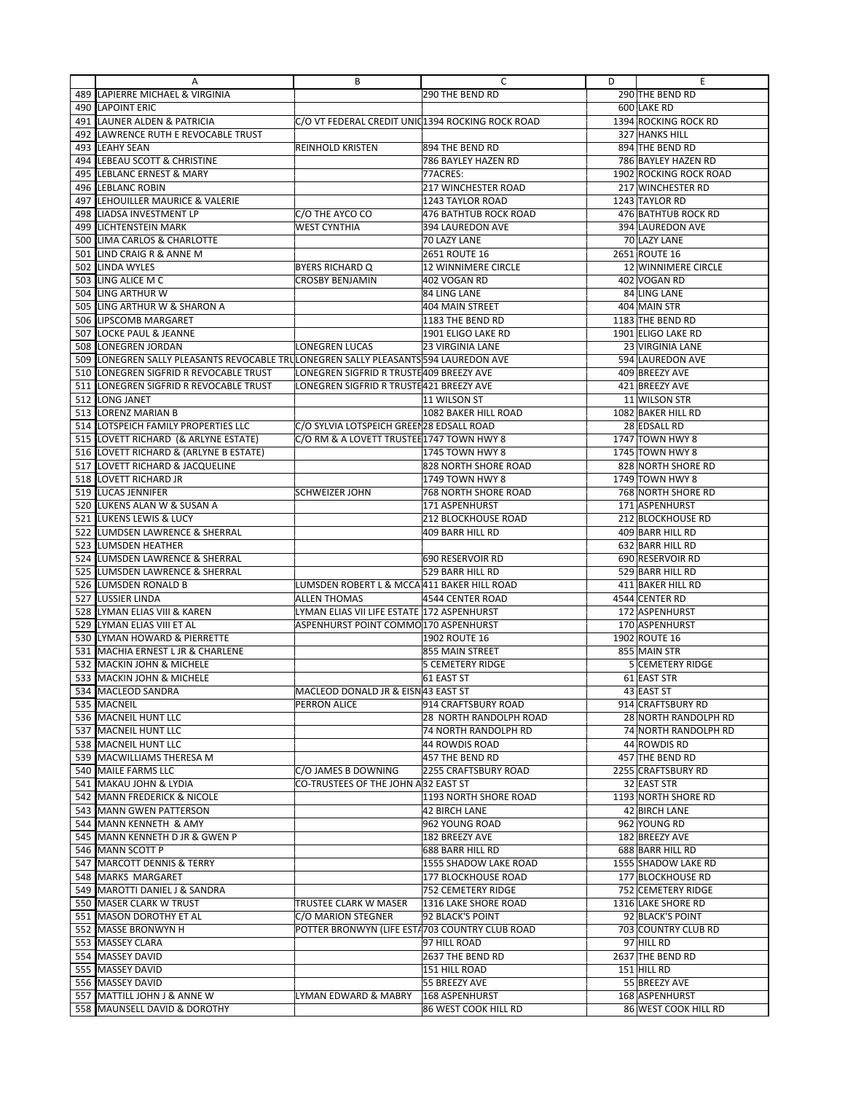|            | Α                                                                               | В                                                | C                            | D | E                                    |
|------------|---------------------------------------------------------------------------------|--------------------------------------------------|------------------------------|---|--------------------------------------|
| 489        | LAPIERRE MICHAEL & VIRGINIA                                                     |                                                  | 290 THE BEND RD              |   | 290 THE BEND RD                      |
|            | 490 LAPOINT ERIC                                                                |                                                  |                              |   | 600 LAKE RD                          |
| 491        | LAUNER ALDEN & PATRICIA                                                         | C/O VT FEDERAL CREDIT UNIC1394 ROCKING ROCK ROAD |                              |   | 1394 ROCKING ROCK RD                 |
| 492        | LAWRENCE RUTH E REVOCABLE TRUST                                                 |                                                  |                              |   | 327 HANKS HILL                       |
| 493        | <b>LEAHY SEAN</b>                                                               | <b>REINHOLD KRISTEN</b>                          | 894 THE BEND RD              |   | 894 THE BEND RD                      |
| 494        | LEBEAU SCOTT & CHRISTINE                                                        |                                                  | 786 BAYLEY HAZEN RD          |   | 786 BAYLEY HAZEN RD                  |
| 495        | LEBLANC ERNEST & MARY                                                           |                                                  | 77ACRES:                     |   | 1902 ROCKING ROCK ROAD               |
| 496        | <b>LEBLANC ROBIN</b>                                                            |                                                  | <b>217 WINCHESTER ROAD</b>   |   | 217 WINCHESTER RD                    |
| 497        | LEHOUILLER MAURICE & VALERIE                                                    |                                                  | 1243 TAYLOR ROAD             |   | 1243 TAYLOR RD                       |
|            | <b>LIADSA INVESTMENT LP</b>                                                     |                                                  | <b>476 BATHTUB ROCK ROAD</b> |   | 476 BATHTUB ROCK RD                  |
| 498        |                                                                                 | C/O THE AYCO CO                                  | <b>394 LAUREDON AVE</b>      |   | 394 LAUREDON AVE                     |
| 499        | <b>LICHTENSTEIN MARK</b>                                                        | <b>WEST CYNTHIA</b>                              |                              |   |                                      |
| 500        | LIMA CARLOS & CHARLOTTE                                                         |                                                  | 70 LAZY LANE                 |   | 70 LAZY LANE                         |
| 501        | LIND CRAIG R & ANNE M                                                           |                                                  | 2651 ROUTE 16                |   | 2651 ROUTE 16                        |
| 502        | <b>LINDA WYLES</b>                                                              | <b>BYERS RICHARD Q</b>                           | <b>12 WINNIMERE CIRCLE</b>   |   | 12 WINNIMERE CIRCLE                  |
| 503        | LING ALICE M C                                                                  | <b>CROSBY BENJAMIN</b>                           | 402 VOGAN RD                 |   | 402 VOGAN RD                         |
| 504        | LING ARTHUR W                                                                   |                                                  | 84 LING LANE                 |   | 84 LING LANE                         |
| 505        | LING ARTHUR W & SHARON A                                                        |                                                  | 404 MAIN STREET              |   | 404 MAIN STR                         |
|            | 506 LIPSCOMB MARGARET                                                           |                                                  | 1183 THE BEND RD             |   | 1183 THE BEND RD                     |
| 507        | <b>LOCKE PAUL &amp; JEANNE</b>                                                  |                                                  | 1901 ELIGO LAKE RD           |   | 1901 ELIGO LAKE RD                   |
| 508        | <b>LONEGREN JORDAN</b>                                                          | <b>LONEGREN LUCAS</b>                            | <b>23 VIRGINIA LANE</b>      |   | 23 VIRGINIA LANE                     |
| 509        | LONEGREN SALLY PLEASANTS REVOCABLE TRULONEGREN SALLY PLEASANTS 594 LAUREDON AVE |                                                  |                              |   | 594 LAUREDON AVE                     |
| 510        | LONEGREN SIGFRID R REVOCABLE TRUST                                              | LONEGREN SIGFRID R TRUSTE409 BREEZY AVE          |                              |   | 409 BREEZY AVE                       |
| 511        | LONEGREN SIGFRID R REVOCABLE TRUST                                              | LONEGREN SIGFRID R TRUSTE421 BREEZY AVE          |                              |   | 421 BREEZY AVE                       |
| 512        | LONG JANET                                                                      |                                                  | 11 WILSON ST                 |   | 11 WILSON STR                        |
| 513        | <b>LORENZ MARIAN B</b>                                                          |                                                  | 1082 BAKER HILL ROAD         |   | 1082 BAKER HILL RD                   |
| 514        | LOTSPEICH FAMILY PROPERTIES LLC                                                 | C/O SYLVIA LOTSPEICH GREEN28 EDSALL ROAD         |                              |   | 28 EDSALL RD                         |
| 515        | LOVETT RICHARD (& ARLYNE ESTATE)                                                | C/O RM & A LOVETT TRUSTEE 1747 TOWN HWY 8        |                              |   | 1747 TOWN HWY 8                      |
|            | 516 LOVETT RICHARD & (ARLYNE B ESTATE)                                          |                                                  | 1745 TOWN HWY 8              |   | 1745 TOWN HWY 8                      |
| 517        | LOVETT RICHARD & JACQUELINE                                                     |                                                  | 828 NORTH SHORE ROAD         |   | 828 NORTH SHORE RD                   |
| 518        | LOVETT RICHARD JR                                                               |                                                  | 1749 TOWN HWY 8              |   | 1749 TOWN HWY 8                      |
| 519        | <b>LUCAS JENNIFER</b>                                                           | <b>SCHWEIZER JOHN</b>                            | <b>768 NORTH SHORE ROAD</b>  |   | 768 NORTH SHORE RD                   |
| 520        | LUKENS ALAN W & SUSAN A                                                         |                                                  | 171 ASPENHURST               |   | 171 ASPENHURST                       |
| 521        | LUKENS LEWIS & LUCY                                                             |                                                  | 212 BLOCKHOUSE ROAD          |   | 212 BLOCKHOUSE RD                    |
| 522        | LUMDSEN LAWRENCE & SHERRAL                                                      |                                                  | 409 BARR HILL RD             |   | 409 BARR HILL RD                     |
|            | LUMSDEN HEATHER                                                                 |                                                  |                              |   |                                      |
| 523<br>524 |                                                                                 |                                                  | 690 RESERVOIR RD             |   | 632 BARR HILL RD<br>690 RESERVOIR RD |
|            | LUMSDEN LAWRENCE & SHERRAL                                                      |                                                  |                              |   |                                      |
| 525        | LUMSDEN LAWRENCE & SHERRAL                                                      |                                                  | 529 BARR HILL RD             |   | 529 BARR HILL RD                     |
|            | 526 LUMSDEN RONALD B                                                            | LUMSDEN ROBERT L & MCCA 411 BAKER HILL ROAD      |                              |   | 411 BAKER HILL RD                    |
| 527        | <b>LUSSIER LINDA</b>                                                            | <b>ALLEN THOMAS</b>                              | 4544 CENTER ROAD             |   | 4544 CENTER RD                       |
|            | 528 LYMAN ELIAS VIII & KAREN                                                    | LYMAN ELIAS VII LIFE ESTATE 172 ASPENHURST       |                              |   | 172 ASPENHURST                       |
| 529        | LYMAN ELIAS VIII ET AL                                                          | ASPENHURST POINT COMMO 170 ASPENHURST            |                              |   | 170 ASPENHURST                       |
| 530        | LYMAN HOWARD & PIERRETTE                                                        |                                                  | 1902 ROUTE 16                |   | 1902 ROUTE 16                        |
| 531        | MACHIA ERNEST L JR & CHARLENE                                                   |                                                  | 855 MAIN STREET              |   | 855 MAIN STR                         |
| 532        | <b>MACKIN JOHN &amp; MICHELE</b>                                                |                                                  | <b>5 CEMETERY RIDGE</b>      |   | <b>5 CEMETERY RIDGE</b>              |
| 533        | MACKIN JOHN & MICHELE                                                           |                                                  | 61 EAST ST                   |   | 61 EAST STR                          |
|            | 534 MACLEOD SANDRA                                                              | MACLEOD DONALD JR & EISN43 EAST ST               |                              |   | 43 EAST ST                           |
|            | 535 MACNEIL                                                                     | <b>PERRON ALICE</b>                              | 914 CRAFTSBURY ROAD          |   | 914 CRAFTSBURY RD                    |
|            | 536 MACNEIL HUNT LLC                                                            |                                                  | 28 NORTH RANDOLPH ROAD       |   | 28 NORTH RANDOLPH RD                 |
|            | 537 MACNEIL HUNT LLC                                                            |                                                  | <b>74 NORTH RANDOLPH RD</b>  |   | 74 NORTH RANDOLPH RD                 |
|            | 538 MACNEIL HUNT LLC                                                            |                                                  | 44 ROWDIS ROAD               |   | 44 ROWDIS RD                         |
|            | 539 MACWILLIAMS THERESA M                                                       |                                                  | 457 THE BEND RD              |   | 457 THE BEND RD                      |
|            | 540 MAILE FARMS LLC                                                             | C/O JAMES B DOWNING                              | 2255 CRAFTSBURY ROAD         |   | 2255 CRAFTSBURY RD                   |
|            | 541 MAKAU JOHN & LYDIA                                                          | CO-TRUSTEES OF THE JOHN A 32 EAST ST             |                              |   | 32 EAST STR                          |
|            | 542 MANN FREDERICK & NICOLE                                                     |                                                  | 1193 NORTH SHORE ROAD        |   | 1193 NORTH SHORE RD                  |
|            | 543 MANN GWEN PATTERSON                                                         |                                                  | <b>42 BIRCH LANE</b>         |   | 42 BIRCH LANE                        |
|            | 544 MANN KENNETH & AMY                                                          |                                                  | 962 YOUNG ROAD               |   | 962 YOUNG RD                         |
|            | 545 MANN KENNETH D JR & GWEN P                                                  |                                                  | 182 BREEZY AVE               |   | 182 BREEZY AVE                       |
|            | 546 MANN SCOTT P                                                                |                                                  | 688 BARR HILL RD             |   | 688 BARR HILL RD                     |
|            | 547 MARCOTT DENNIS & TERRY                                                      |                                                  | 1555 SHADOW LAKE ROAD        |   | 1555 SHADOW LAKE RD                  |
|            | 548 MARKS MARGARET                                                              |                                                  | 177 BLOCKHOUSE ROAD          |   | 177 BLOCKHOUSE RD                    |
|            | 549 MAROTTI DANIEL J & SANDRA                                                   |                                                  | 752 CEMETERY RIDGE           |   | 752 CEMETERY RIDGE                   |
|            | 550 MASER CLARK W TRUST                                                         | TRUSTEE CLARK W MASER                            | 1316 LAKE SHORE ROAD         |   | 1316 LAKE SHORE RD                   |
|            | 551 MASON DOROTHY ET AL                                                         | C/O MARION STEGNER                               | 92 BLACK'S POINT             |   | 92 BLACK'S POINT                     |
|            | 552 MASSE BRONWYN H                                                             | POTTER BRONWYN (LIFE EST/ 703 COUNTRY CLUB ROAD  |                              |   | 703 COUNTRY CLUB RD                  |
|            | 553 MASSEY CLARA                                                                |                                                  | 97 HILL ROAD                 |   | 97 HILL RD                           |
|            | 554 MASSEY DAVID                                                                |                                                  | 2637 THE BEND RD             |   | 2637 THE BEND RD                     |
|            | 555 MASSEY DAVID                                                                |                                                  | 151 HILL ROAD                |   | 151 HILL RD                          |
|            | 556 MASSEY DAVID                                                                |                                                  | 55 BREEZY AVE                |   | 55 BREEZY AVE                        |
|            | 557 MATTILL JOHN J & ANNE W                                                     | LYMAN EDWARD & MABRY                             | 168 ASPENHURST               |   | 168 ASPENHURST                       |
|            |                                                                                 |                                                  |                              |   |                                      |
|            | 558 MAUNSELL DAVID & DOROTHY                                                    |                                                  | 86 WEST COOK HILL RD         |   | 86 WEST COOK HILL RD                 |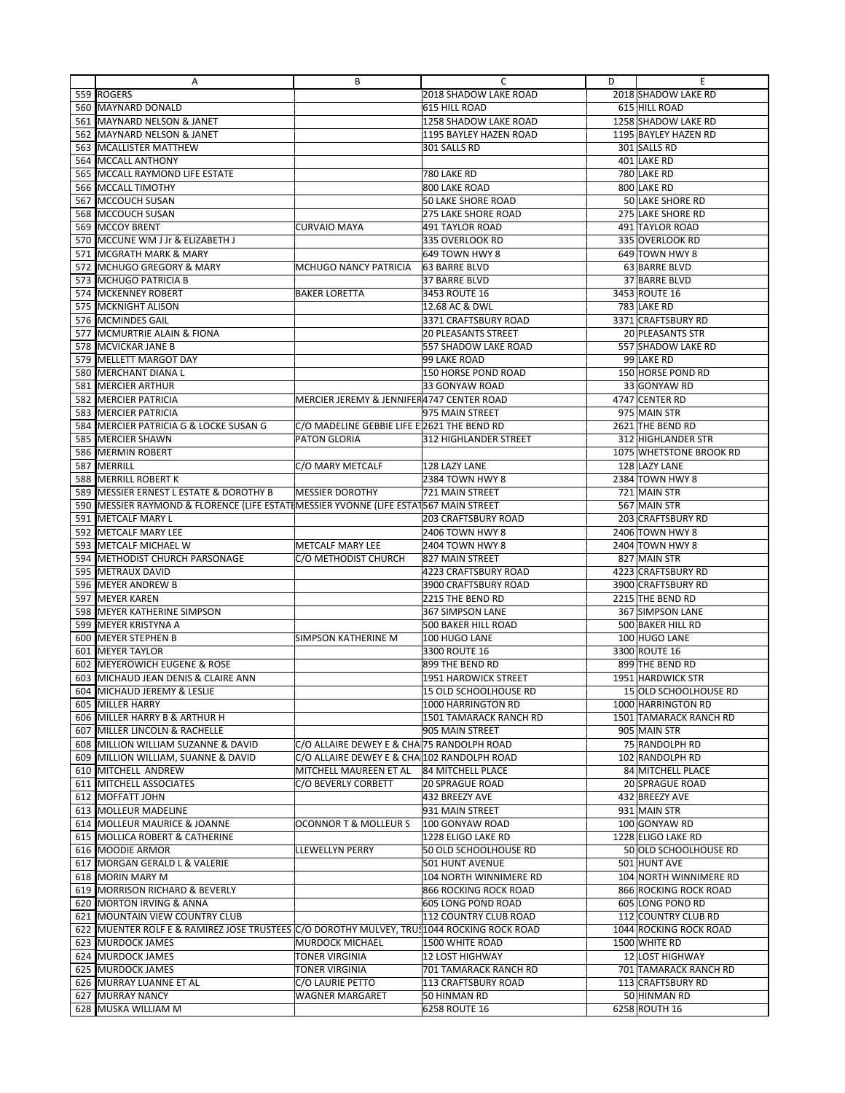|     | Α                                                                                        | В                                           | C                          | D | Ε                        |
|-----|------------------------------------------------------------------------------------------|---------------------------------------------|----------------------------|---|--------------------------|
|     | 559 ROGERS                                                                               |                                             | 2018 SHADOW LAKE ROAD      |   | 2018 SHADOW LAKE RD      |
|     | 560 MAYNARD DONALD                                                                       |                                             | 615 HILL ROAD              |   | 615 HILL ROAD            |
|     | 561 MAYNARD NELSON & JANET                                                               |                                             | 1258 SHADOW LAKE ROAD      |   | 1258 SHADOW LAKE RD      |
|     | 562 MAYNARD NELSON & JANET                                                               |                                             | 1195 BAYLEY HAZEN ROAD     |   | 1195 BAYLEY HAZEN RD     |
|     | 563 MCALLISTER MATTHEW                                                                   |                                             | 301 SALLS RD               |   | 301 SALLS RD             |
|     | 564 MCCALL ANTHONY                                                                       |                                             |                            |   | 401 LAKE RD              |
|     | 565 MCCALL RAYMOND LIFE ESTATE                                                           |                                             | 780 LAKE RD                |   | 780 LAKE RD              |
|     | 566 MCCALL TIMOTHY                                                                       |                                             | 800 LAKE ROAD              |   | 800 LAKE RD              |
|     | 567 MCCOUCH SUSAN                                                                        |                                             | 50 LAKE SHORE ROAD         |   | 50 LAKE SHORE RD         |
|     | 568 MCCOUCH SUSAN                                                                        |                                             | 275 LAKE SHORE ROAD        |   | <b>275 LAKE SHORE RD</b> |
|     | 569 MCCOY BRENT                                                                          | <b>CURVAIO MAYA</b>                         | 491 TAYLOR ROAD            |   | 491 TAYLOR ROAD          |
|     | 570 MCCUNE WM J Jr & ELIZABETH J                                                         |                                             | 335 OVERLOOK RD            |   | 335 OVERLOOK RD          |
| 571 | <b>MCGRATH MARK &amp; MARY</b>                                                           |                                             | 649 TOWN HWY 8             |   | 649 TOWN HWY 8           |
|     | 572 MCHUGO GREGORY & MARY                                                                | MCHUGO NANCY PATRICIA                       | <b>63 BARRE BLVD</b>       |   | 63 BARRE BLVD            |
|     | 573 MCHUGO PATRICIA B                                                                    |                                             | 37 BARRE BLVD              |   | 37 BARRE BLVD            |
|     | 574 MCKENNEY ROBERT                                                                      | <b>BAKER LORETTA</b>                        | 3453 ROUTE 16              |   | 3453 ROUTE 16            |
|     | 575   MCKNIGHT ALISON                                                                    |                                             | 12.68 AC & DWL             |   | 783 LAKE RD              |
|     | 576 MCMINDES GAIL                                                                        |                                             | 3371 CRAFTSBURY ROAD       |   | 3371 CRAFTSBURY RD       |
|     | 577 MCMURTRIE ALAIN & FIONA                                                              |                                             | <b>20 PLEASANTS STREET</b> |   | 20 PLEASANTS STR         |
|     | 578 MCVICKAR JANE B                                                                      |                                             | 557 SHADOW LAKE ROAD       |   | 557 SHADOW LAKE RD       |
| 579 | <b>MELLETT MARGOT DAY</b>                                                                |                                             | 99 LAKE ROAD               |   | 99 LAKE RD               |
|     | 580 IMERCHANT DIANA L                                                                    |                                             | 150 HORSE POND ROAD        |   | 150 HORSE POND RD        |
| 581 | <b>MERCIER ARTHUR</b>                                                                    |                                             | 33 GONYAW ROAD             |   | 33 GONYAW RD             |
|     | 582 MERCIER PATRICIA                                                                     | MERCIER JEREMY & JENNIFER4747 CENTER ROAD   |                            |   | 4747 CENTER RD           |
|     | 583 <b>IMERCIER PATRICIA</b>                                                             |                                             | 975 MAIN STREET            |   | 975 MAIN STR             |
| 584 | MERCIER PATRICIA G & LOCKE SUSAN G                                                       | C/O MADELINE GEBBIE LIFE E 2621 THE BEND RD |                            |   | 2621 THE BEND RD         |
|     | 585 MERCIER SHAWN                                                                        | <b>PATON GLORIA</b>                         | 312 HIGHLANDER STREET      |   | 312 HIGHLANDER STR       |
| 586 | <b>MERMIN ROBERT</b>                                                                     |                                             |                            |   | 1075 WHETSTONE BROOK RD  |
| 587 | MERRILL                                                                                  | C/O MARY METCALF                            | 128 LAZY LANE              |   | 128 LAZY LANE            |
|     | 588 MERRILL ROBERT K                                                                     |                                             | 2384 TOWN HWY 8            |   | 2384 TOWN HWY 8          |
| 589 | <b>MESSIER ERNEST L ESTATE &amp; DOROTHY B</b>                                           | <b>MESSIER DOROTHY</b>                      | 721 MAIN STREET            |   | 721 MAIN STR             |
|     | 590   MESSIER RAYMOND & FLORENCE (LIFE ESTATIMESSIER YVONNE (LIFE ESTAT567 MAIN STREET   |                                             |                            |   | 567 MAIN STR             |
| 591 | <b>METCALF MARY L</b>                                                                    |                                             | <b>203 CRAFTSBURY ROAD</b> |   | 203 CRAFTSBURY RD        |
|     | 592 METCALF MARY LEE                                                                     |                                             | 2406 TOWN HWY 8            |   | 2406 TOWN HWY 8          |
|     | 593 METCALF MICHAEL W                                                                    | <b>METCALF MARY LEE</b>                     | 2404 TOWN HWY 8            |   | 2404 TOWN HWY 8          |
|     | 594 METHODIST CHURCH PARSONAGE                                                           | C/O METHODIST CHURCH                        | 827 MAIN STREET            |   | 827 MAIN STR             |
|     | 595 METRAUX DAVID                                                                        |                                             | 4223 CRAFTSBURY ROAD       |   | 4223 CRAFTSBURY RD       |
|     | 596 MEYER ANDREW B                                                                       |                                             | 3900 CRAFTSBURY ROAD       |   | 3900 CRAFTSBURY RD       |
|     | 597 MEYER KAREN                                                                          |                                             | 2215 THE BEND RD           |   | 2215 THE BEND RD         |
|     | 598 MEYER KATHERINE SIMPSON                                                              |                                             | 367 SIMPSON LANE           |   | 367 SIMPSON LANE         |
| 599 | <b>IMEYER KRISTYNA A</b>                                                                 |                                             | 500 BAKER HILL ROAD        |   | 500 BAKER HILL RD        |
|     | 600 MEYER STEPHEN B                                                                      | <b>SIMPSON KATHERINE M</b>                  | 100 HUGO LANE              |   | 100 HUGO LANE            |
|     | 601 MEYER TAYLOR                                                                         |                                             | 3300 ROUTE 16              |   | 3300 ROUTE 16            |
|     | 602 MEYEROWICH EUGENE & ROSE                                                             |                                             | 899 THE BEND RD            |   | 899 THE BEND RD          |
|     | 603 MICHAUD JEAN DENIS & CLAIRE ANN                                                      |                                             | 1951 HARDWICK STREET       |   | 1951 HARDWICK STR        |
|     | 604 MICHAUD JEREMY & LESLIE                                                              |                                             | 15 OLD SCHOOLHOUSE RD      |   | 15 OLD SCHOOLHOUSE RD    |
|     | 605 MILLER HARRY                                                                         |                                             | 1000 HARRINGTON RD         |   | 1000 HARRINGTON RD       |
|     | 606 MILLER HARRY B & ARTHUR H                                                            |                                             | 1501 TAMARACK RANCH RD     |   | 1501 TAMARACK RANCH RD   |
|     | 607 MILLER LINCOLN & RACHELLE                                                            |                                             | 905 MAIN STREET            |   | 905 MAIN STR             |
|     | 608 MILLION WILLIAM SUZANNE & DAVID                                                      | C/O ALLAIRE DEWEY E & CHA 75 RANDOLPH ROAD  |                            |   | 75 RANDOLPH RD           |
| 609 | MILLION WILLIAM, SUANNE & DAVID                                                          | C/O ALLAIRE DEWEY E & CHA 102 RANDOLPH ROAD |                            |   | 102 RANDOLPH RD          |
|     | 610 MITCHELL ANDREW                                                                      | MITCHELL MAUREEN ET AL                      | 84 MITCHELL PLACE          |   | 84 MITCHELL PLACE        |
|     | 611 MITCHELL ASSOCIATES                                                                  | C/O BEVERLY CORBETT                         | <b>20 SPRAGUE ROAD</b>     |   | 20 SPRAGUE ROAD          |
|     | 612 MOFFATT JOHN                                                                         |                                             | 432 BREEZY AVE             |   | 432 BREEZY AVE           |
|     | 613 MOLLEUR MADELINE                                                                     |                                             | 931 MAIN STREET            |   | 931 MAIN STR             |
|     | 614 MOLLEUR MAURICE & JOANNE                                                             | <b>OCONNOR T &amp; MOLLEUR S</b>            | 100 GONYAW ROAD            |   | 100 GONYAW RD            |
|     | 615 MOLLICA ROBERT & CATHERINE                                                           |                                             | 1228 ELIGO LAKE RD         |   | 1228 ELIGO LAKE RD       |
|     | 616 MOODIE ARMOR                                                                         | <b>LLEWELLYN PERRY</b>                      | 50 OLD SCHOOLHOUSE RD      |   | 50 OLD SCHOOLHOUSE RD    |
|     | 617 MORGAN GERALD L & VALERIE                                                            |                                             | 501 HUNT AVENUE            |   | 501 HUNT AVE             |
|     | 618   MORIN MARY M                                                                       |                                             | 104 NORTH WINNIMERE RD     |   | 104 NORTH WINNIMERE RD   |
|     | 619   MORRISON RICHARD & BEVERLY                                                         |                                             | 866 ROCKING ROCK ROAD      |   | 866 ROCKING ROCK ROAD    |
|     | 620 MORTON IRVING & ANNA                                                                 |                                             | 605 LONG POND ROAD         |   | 605 LONG POND RD         |
|     | 621 MOUNTAIN VIEW COUNTRY CLUB                                                           |                                             | 112 COUNTRY CLUB ROAD      |   | 112 COUNTRY CLUB RD      |
|     | 622 MUENTER ROLF E & RAMIREZ JOSE TRUSTEES CO DOROTHY MULVEY, TRUS1044 ROCKING ROCK ROAD |                                             |                            |   | 1044 ROCKING ROCK ROAD   |
|     | 623 MURDOCK JAMES                                                                        | <b>MURDOCK MICHAEL</b>                      | 1500 WHITE ROAD            |   | 1500 WHITE RD            |
|     | 624 MURDOCK JAMES                                                                        | <b>TONER VIRGINIA</b>                       | <b>12 LOST HIGHWAY</b>     |   | 12 LOST HIGHWAY          |
|     | 625 MURDOCK JAMES                                                                        | <b>TONER VIRGINIA</b>                       | 701 TAMARACK RANCH RD      |   | 701 TAMARACK RANCH RD    |
|     | 626 MURRAY LUANNE ET AL                                                                  | C/O LAURIE PETTO                            | 113 CRAFTSBURY ROAD        |   | 113 CRAFTSBURY RD        |
|     | 627 MURRAY NANCY                                                                         | <b>WAGNER MARGARET</b>                      | 50 HINMAN RD               |   | 50 HINMAN RD             |
|     | 628 MUSKA WILLIAM M                                                                      |                                             | 6258 ROUTE 16              |   | 6258 ROUTH 16            |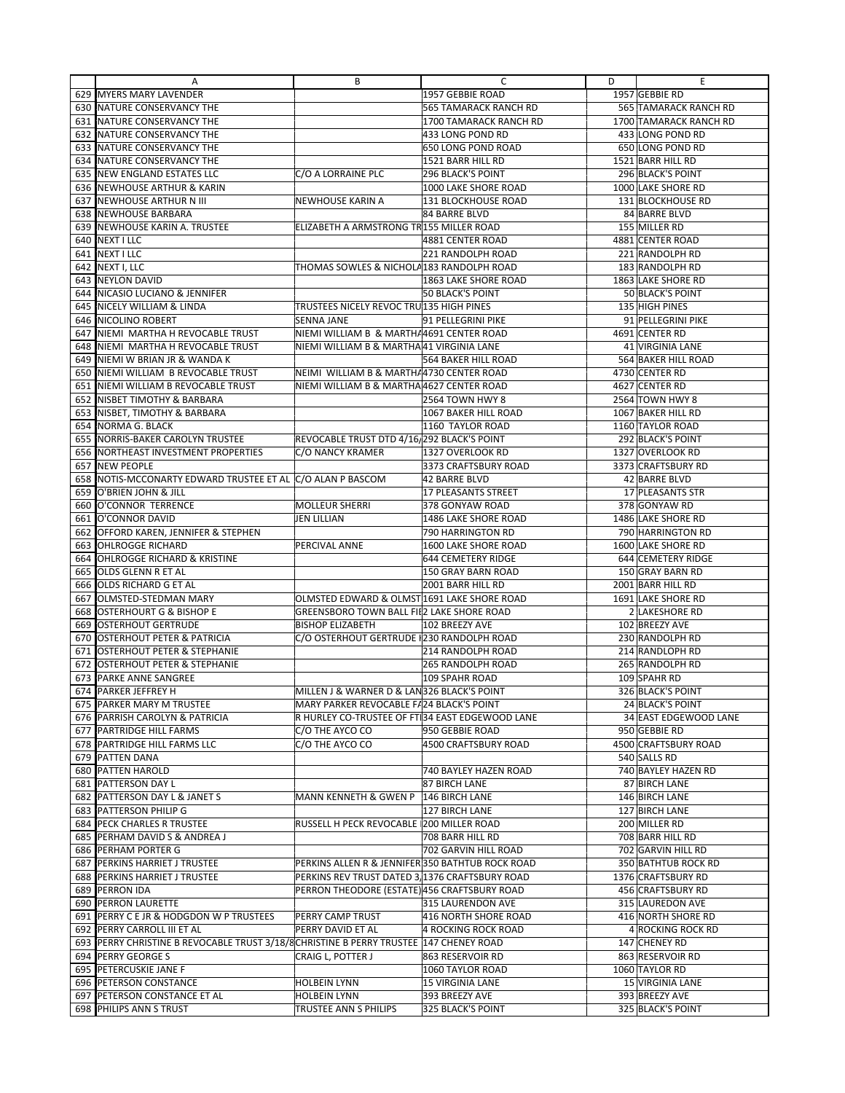|     | Α                                                                                          | В                                                | C                      | D | Ε                                     |
|-----|--------------------------------------------------------------------------------------------|--------------------------------------------------|------------------------|---|---------------------------------------|
|     | 629 MYERS MARY LAVENDER                                                                    |                                                  | 1957 GEBBIE ROAD       |   | 1957 GEBBIE RD                        |
|     | 630 NATURE CONSERVANCY THE                                                                 |                                                  | 565 TAMARACK RANCH RD  |   | 565 TAMARACK RANCH RD                 |
|     | 631 NATURE CONSERVANCY THE                                                                 |                                                  | 1700 TAMARACK RANCH RD |   | 1700 TAMARACK RANCH RD                |
|     | 632 NATURE CONSERVANCY THE                                                                 |                                                  | 433 LONG POND RD       |   | 433 LONG POND RD                      |
|     | 633 NATURE CONSERVANCY THE                                                                 |                                                  | 650 LONG POND ROAD     |   | 650 LONG POND RD                      |
| 634 | NATURE CONSERVANCY THE                                                                     |                                                  | 1521 BARR HILL RD      |   | 1521 BARR HILL RD                     |
|     | 635   NEW ENGLAND ESTATES LLC                                                              | C/O A LORRAINE PLC                               | 296 BLACK'S POINT      |   | 296 BLACK'S POINT                     |
| 636 | <b>INEWHOUSE ARTHUR &amp; KARIN</b>                                                        |                                                  | 1000 LAKE SHORE ROAD   |   | 1000 LAKE SHORE RD                    |
|     | 637 NEWHOUSE ARTHUR N III                                                                  | NEWHOUSE KARIN A                                 | 131 BLOCKHOUSE ROAD    |   | 131 BLOCKHOUSE RD                     |
|     | 638 NEWHOUSE BARBARA                                                                       |                                                  | 84 BARRE BLVD          |   | 84 BARRE BLVD                         |
|     | 639 NEWHOUSE KARIN A. TRUSTEE                                                              | ELIZABETH A ARMSTRONG TR155 MILLER ROAD          |                        |   | 155 MILLER RD                         |
|     | 640 NEXT I LLC                                                                             |                                                  | 4881 CENTER ROAD       |   | 4881 CENTER ROAD                      |
| 641 | NEXT I LLC                                                                                 |                                                  | 221 RANDOLPH ROAD      |   | 221 RANDOLPH RD                       |
|     |                                                                                            |                                                  |                        |   |                                       |
|     | 642 NEXT I, LLC                                                                            | THOMAS SOWLES & NICHOLA183 RANDOLPH ROAD         |                        |   | 183 RANDOLPH RD<br>1863 LAKE SHORE RD |
|     | 643 NEYLON DAVID                                                                           |                                                  | 1863 LAKE SHORE ROAD   |   |                                       |
| 644 | NICASIO LUCIANO & JENNIFER                                                                 |                                                  | 50 BLACK'S POINT       |   | 50 BLACK'S POINT                      |
| 645 | NICELY WILLIAM & LINDA                                                                     | TRUSTEES NICELY REVOC TRU 135 HIGH PINES         |                        |   | 135 HIGH PINES                        |
| 646 | <b>NICOLINO ROBERT</b>                                                                     | SENNA JANE                                       | 91 PELLEGRINI PIKE     |   | 91 PELLEGRINI PIKE                    |
| 647 | NIEMI MARTHA H REVOCABLE TRUST                                                             | NIEMI WILLIAM B & MARTHA4691 CENTER ROAD         |                        |   | 4691 CENTER RD                        |
| 648 | NIEMI MARTHA H REVOCABLE TRUST                                                             | NIEMI WILLIAM B & MARTHA41 VIRGINIA LANE         |                        |   | 41 VIRGINIA LANE                      |
| 649 | NIEMI W BRIAN JR & WANDA K                                                                 |                                                  | 564 BAKER HILL ROAD    |   | 564 BAKER HILL ROAD                   |
| 650 | NIEMI WILLIAM B REVOCABLE TRUST                                                            | NEIMI WILLIAM B & MARTH/4730 CENTER ROAD         |                        |   | 4730 CENTER RD                        |
| 651 | NIEMI WILLIAM B REVOCABLE TRUST                                                            | NIEMI WILLIAM B & MARTHA 4627 CENTER ROAD        |                        |   | 4627 CENTER RD                        |
|     | 652 INISBET TIMOTHY & BARBARA                                                              |                                                  | 2564 TOWN HWY 8        |   | 2564 TOWN HWY 8                       |
| 653 | NISBET, TIMOTHY & BARBARA                                                                  |                                                  | 1067 BAKER HILL ROAD   |   | 1067 BAKER HILL RD                    |
|     | 654 NORMA G. BLACK                                                                         |                                                  | 1160 TAYLOR ROAD       |   | 1160 TAYLOR ROAD                      |
|     | 655 INORRIS-BAKER CAROLYN TRUSTEE                                                          | REVOCABLE TRUST DTD 4/16/292 BLACK'S POINT       |                        |   | 292 BLACK'S POINT                     |
|     | 656 INORTHEAST INVESTMENT PROPERTIES                                                       | C/O NANCY KRAMER                                 | 1327 OVERLOOK RD       |   | 1327 OVERLOOK RD                      |
|     | 657 NEW PEOPLE                                                                             |                                                  | 3373 CRAFTSBURY ROAD   |   | 3373 CRAFTSBURY RD                    |
|     | 658 NOTIS-MCCONARTY EDWARD TRUSTEE ET AL C/O ALAN P BASCOM                                 |                                                  | <b>42 BARRE BLVD</b>   |   | 42 BARRE BLVD                         |
|     | 659 O'BRIEN JOHN & JILL                                                                    |                                                  | 17 PLEASANTS STREET    |   | 17 PLEASANTS STR                      |
|     | 660 O'CONNOR TERRENCE                                                                      | <b>MOLLEUR SHERRI</b>                            | 378 GONYAW ROAD        |   | 378 GONYAW RD                         |
| 661 | O'CONNOR DAVID                                                                             | <b>JEN LILLIAN</b>                               | 1486 LAKE SHORE ROAD   |   | 1486 LAKE SHORE RD                    |
| 662 | <b>OFFORD KAREN, JENNIFER &amp; STEPHEN</b>                                                |                                                  | 790 HARRINGTON RD      |   | 790 HARRINGTON RD                     |
| 663 | <b>OHLROGGE RICHARD</b>                                                                    | PERCIVAL ANNE                                    | 1600 LAKE SHORE ROAD   |   | 1600 LAKE SHORE RD                    |
| 664 | <b>OHLROGGE RICHARD &amp; KRISTINE</b>                                                     |                                                  | 644 CEMETERY RIDGE     |   | 644 CEMETERY RIDGE                    |
| 665 | <b>OLDS GLENN R ET AL</b>                                                                  |                                                  | 150 GRAY BARN ROAD     |   | 150 GRAY BARN RD                      |
| 666 | <b>OLDS RICHARD G ET AL</b>                                                                |                                                  | 2001 BARR HILL RD      |   | 2001 BARR HILL RD                     |
| 667 | <b>OLMSTED-STEDMAN MARY</b>                                                                | OLMSTED EDWARD & OLMST 1691 LAKE SHORE ROAD      |                        |   | 1691 LAKE SHORE RD                    |
|     | 668 OSTERHOURT G & BISHOP E                                                                | <b>GREENSBORO TOWN BALL FILL LAKE SHORE ROAD</b> |                        |   | 2 LAKESHORE RD                        |
| 669 | <b>OSTERHOUT GERTRUDE</b>                                                                  | <b>BISHOP ELIZABETH</b>                          | 102 BREEZY AVE         |   | 102 BREEZY AVE                        |
| 670 | <b>OSTERHOUT PETER &amp; PATRICIA</b>                                                      | C/O OSTERHOUT GERTRUDE 230 RANDOLPH ROAD         |                        |   | 230 RANDOLPH RD                       |
| 671 | <b>OSTERHOUT PETER &amp; STEPHANIE</b>                                                     |                                                  | 214 RANDOLPH ROAD      |   | 214 RANDLOPH RD                       |
| 672 | <b>JOSTERHOUT PETER &amp; STEPHANIE</b>                                                    |                                                  | 265 RANDOLPH ROAD      |   | 265 RANDOLPH RD                       |
|     | 673 PARKE ANNE SANGREE                                                                     |                                                  | 109 SPAHR ROAD         |   | 109 SPAHR RD                          |
|     | 674 PARKER JEFFREY H                                                                       | MILLEN J & WARNER D & LAN326 BLACK'S POINT       |                        |   | 326 BLACK'S POINT                     |
|     | 675 PARKER MARY M TRUSTEE                                                                  | MARY PARKER REVOCABLE F/24 BLACK'S POINT         |                        |   | 24 BLACK'S POINT                      |
|     | 676 PARRISH CAROLYN & PATRICIA                                                             | R HURLEY CO-TRUSTEE OF FT 34 EAST EDGEWOOD LANE  |                        |   | 34 EAST EDGEWOOD LANE                 |
|     | 677 PARTRIDGE HILL FARMS                                                                   | C/O THE AYCO CO                                  | 950 GEBBIE ROAD        |   | 950 GEBBIE RD                         |
|     | 678 PARTRIDGE HILL FARMS LLC                                                               | C/O THE AYCO CO                                  | 4500 CRAFTSBURY ROAD   |   | 4500 CRAFTSBURY ROAD                  |
|     | 679 PATTEN DANA                                                                            |                                                  |                        |   | 540 SALLS RD                          |
|     | 680 PATTEN HAROLD                                                                          |                                                  | 740 BAYLEY HAZEN ROAD  |   | 740 BAYLEY HAZEN RD                   |
|     | 681 PATTERSON DAY L                                                                        |                                                  | <b>87 BIRCH LANE</b>   |   | 87 BIRCH LANE                         |
|     | 682 PATTERSON DAY L & JANET S                                                              | MANN KENNETH & GWEN P                            | 146 BIRCH LANE         |   | 146 BIRCH LANE                        |
|     | 683 PATTERSON PHILIP G                                                                     |                                                  | 127 BIRCH LANE         |   | 127 BIRCH LANE                        |
|     | 684 PECK CHARLES R TRUSTEE                                                                 | RUSSELL H PECK REVOCABLE 200 MILLER ROAD         |                        |   | 200 MILLER RD                         |
|     | 685 PERHAM DAVID S & ANDREA J                                                              |                                                  | 708 BARR HILL RD       |   | 708 BARR HILL RD                      |
|     |                                                                                            |                                                  |                        |   | 702 GARVIN HILL RD                    |
|     | 686 PERHAM PORTER G                                                                        |                                                  | 702 GARVIN HILL ROAD   |   |                                       |
|     | 687 PERKINS HARRIET J TRUSTEE                                                              | PERKINS ALLEN R & JENNIFER 350 BATHTUB ROCK ROAD |                        |   | 350 BATHTUB ROCK RD                   |
|     | 688 PERKINS HARRIET J TRUSTEE                                                              | PERKINS REV TRUST DATED 3.1376 CRAFTSBURY ROAD   |                        |   | 1376 CRAFTSBURY RD                    |
|     | 689 PERRON IDA                                                                             | PERRON THEODORE (ESTATE) 456 CRAFTSBURY ROAD     |                        |   | 456 CRAFTSBURY RD                     |
|     | 690 PERRON LAURETTE                                                                        |                                                  | 315 LAURENDON AVE      |   | 315 LAUREDON AVE                      |
|     | 691 PERRY C E JR & HODGDON W P TRUSTEES                                                    | PERRY CAMP TRUST                                 | 416 NORTH SHORE ROAD   |   | 416 NORTH SHORE RD                    |
|     | 692 PERRY CARROLL III ET AL                                                                | PERRY DAVID ET AL                                | 4 ROCKING ROCK ROAD    |   | 4 ROCKING ROCK RD                     |
|     | 693   PERRY CHRISTINE B REVOCABLE TRUST 3/18/8 CHRISTINE B PERRY TRUSTEE   147 CHENEY ROAD |                                                  |                        |   | 147 CHENEY RD                         |
|     | 694 PERRY GEORGE S                                                                         | CRAIG L, POTTER J                                | 863 RESERVOIR RD       |   | 863 RESERVOIR RD                      |
|     | 695 PETERCUSKIE JANE F                                                                     |                                                  | 1060 TAYLOR ROAD       |   | 1060 TAYLOR RD                        |
|     | 696 PETERSON CONSTANCE                                                                     | <b>HOLBEIN LYNN</b>                              | 15 VIRGINIA LANE       |   | 15 VIRGINIA LANE                      |
|     | 697 PETERSON CONSTANCE ET AL                                                               | <b>HOLBEIN LYNN</b>                              | 393 BREEZY AVE         |   | 393 BREEZY AVE                        |
|     | 698 PHILIPS ANN S TRUST                                                                    | TRUSTEE ANN S PHILIPS                            | 325 BLACK'S POINT      |   | 325 BLACK'S POINT                     |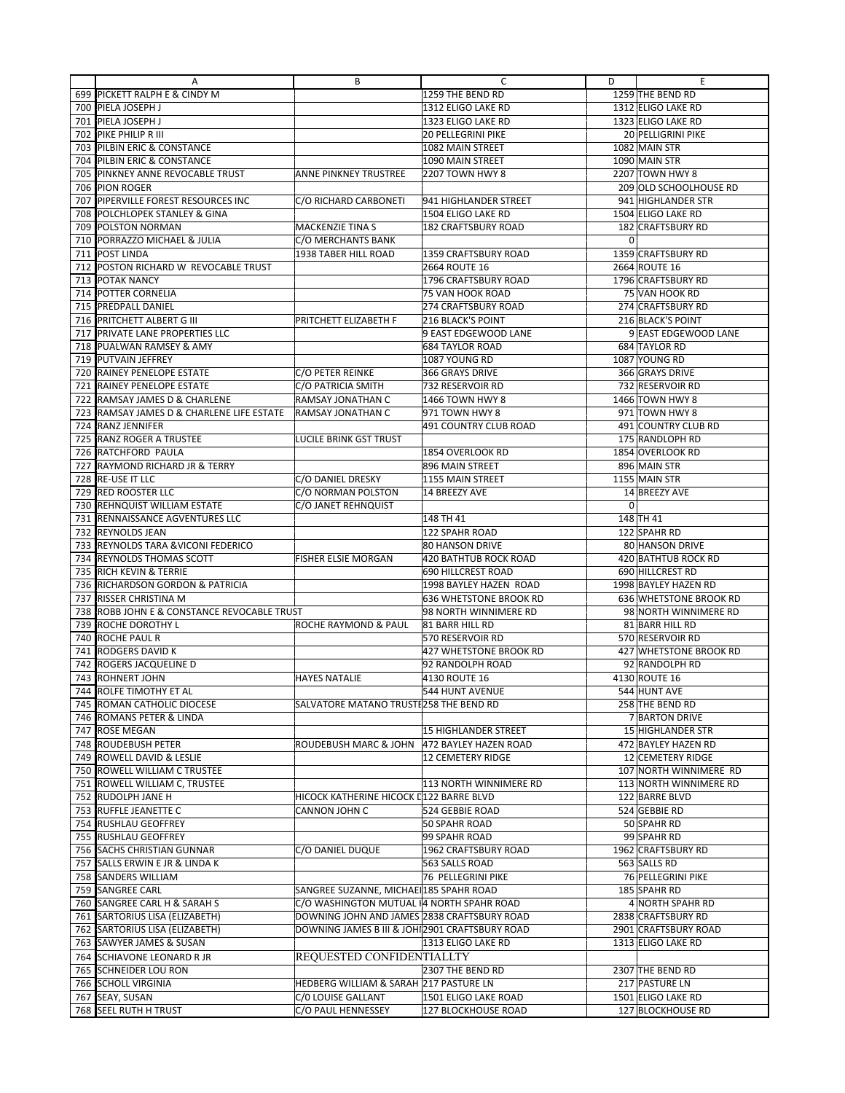|            | Α                                                                             | В                                              | C                                 | D              | Ε                                        |
|------------|-------------------------------------------------------------------------------|------------------------------------------------|-----------------------------------|----------------|------------------------------------------|
| 699        | PICKETT RALPH E & CINDY M                                                     |                                                | 1259 THE BEND RD                  |                | 1259 THE BEND RD                         |
| 700        | PIELA JOSEPH J                                                                |                                                | 1312 ELIGO LAKE RD                |                | 1312 ELIGO LAKE RD                       |
| 701        | PIELA JOSEPH J                                                                |                                                | 1323 ELIGO LAKE RD                |                | 1323 ELIGO LAKE RD                       |
| 702        | PIKE PHILIP R III                                                             |                                                | <b>20 PELLEGRINI PIKE</b>         |                | 20 PELLIGRINI PIKE                       |
| 703        | <b>PILBIN ERIC &amp; CONSTANCE</b>                                            |                                                | 1082 MAIN STREET                  |                | 1082 MAIN STR                            |
| 704        | PILBIN ERIC & CONSTANCE                                                       |                                                | 1090 MAIN STREET                  |                | 1090 MAIN STR                            |
| 705        | PINKNEY ANNE REVOCABLE TRUST                                                  | ANNE PINKNEY TRUSTREE                          | 2207 TOWN HWY 8                   |                | 2207 TOWN HWY 8                          |
| 706        | <b>PION ROGER</b>                                                             |                                                |                                   |                | 209 OLD SCHOOLHOUSE RD                   |
| 707        | PIPERVILLE FOREST RESOURCES INC                                               | C/O RICHARD CARBONETI                          | 941 HIGHLANDER STREET             |                | 941 HIGHLANDER STR                       |
| 708        | POLCHLOPEK STANLEY & GINA                                                     |                                                | 1504 ELIGO LAKE RD                |                | 1504 ELIGO LAKE RD                       |
| 709        | POLSTON NORMAN                                                                | MACKENZIE TINA S                               | <b>182 CRAFTSBURY ROAD</b>        |                | 182 CRAFTSBURY RD                        |
| 710        | PORRAZZO MICHAEL & JULIA                                                      | C/O MERCHANTS BANK                             |                                   | $\overline{0}$ |                                          |
| 711        | POST LINDA                                                                    | 1938 TABER HILL ROAD                           | 1359 CRAFTSBURY ROAD              |                | 1359 CRAFTSBURY RD                       |
| 712        | POSTON RICHARD W REVOCABLE TRUST                                              |                                                | 2664 ROUTE 16                     |                | 2664 ROUTE 16                            |
| 713        | POTAK NANCY                                                                   |                                                | 1796 CRAFTSBURY ROAD              |                | 1796 CRAFTSBURY RD                       |
| 714        | POTTER CORNELIA                                                               |                                                | 75 VAN HOOK ROAD                  |                | 75 VAN HOOK RD                           |
| 715        | <b>PREDPALL DANIEL</b>                                                        |                                                | 274 CRAFTSBURY ROAD               |                | 274 CRAFTSBURY RD                        |
| 716        | PRITCHETT ALBERT G III                                                        | PRITCHETT ELIZABETH F                          | 216 BLACK'S POINT                 |                | 216 BLACK'S POINT                        |
| 717        | PRIVATE LANE PROPERTIES LLC                                                   |                                                | 9 EAST EDGEWOOD LANE              |                | 9 EAST EDGEWOOD LANE                     |
| 718        | PUALWAN RAMSEY & AMY                                                          |                                                | <b>684 TAYLOR ROAD</b>            |                | 684 TAYLOR RD                            |
| 719        | <b>PUTVAIN JEFFREY</b>                                                        |                                                | 1087 YOUNG RD                     |                | 1087 YOUNG RD                            |
| 720<br>721 | RAINEY PENELOPE ESTATE                                                        | C/O PETER REINKE                               | 366 GRAYS DRIVE                   |                | 366 GRAYS DRIVE                          |
|            | RAINEY PENELOPE ESTATE                                                        | C/O PATRICIA SMITH<br>RAMSAY JONATHAN C        | 732 RESERVOIR RD                  |                | 732 RESERVOIR RD                         |
| 722<br>723 | <b>RAMSAY JAMES D &amp; CHARLENE</b><br>RAMSAY JAMES D & CHARLENE LIFE ESTATE | RAMSAY JONATHAN C                              | 1466 TOWN HWY 8<br>971 TOWN HWY 8 |                | 1466 TOWN HWY 8<br>971 TOWN HWY 8        |
| 724        | <b>RANZ JENNIFER</b>                                                          |                                                | <b>491 COUNTRY CLUB ROAD</b>      |                | 491 COUNTRY CLUB RD                      |
| 725        | <b>RANZ ROGER A TRUSTEE</b>                                                   | <b>LUCILE BRINK GST TRUST</b>                  |                                   |                | 175 RANDLOPH RD                          |
| 726        | RATCHFORD PAULA                                                               |                                                | 1854 OVERLOOK RD                  |                | 1854 OVERLOOK RD                         |
| 727        | <b>RAYMOND RICHARD JR &amp; TERRY</b>                                         |                                                | 896 MAIN STREET                   |                | 896 MAIN STR                             |
| 728        | <b>RE-USE IT LLC</b>                                                          | C/O DANIEL DRESKY                              | 1155 MAIN STREET                  |                | 1155 MAIN STR                            |
| 729        | <b>RED ROOSTER LLC</b>                                                        | C/O NORMAN POLSTON                             | 14 BREEZY AVE                     |                | 14 BREEZY AVE                            |
| 730        | <b>REHNQUIST WILLIAM ESTATE</b>                                               | C/O JANET REHNQUIST                            |                                   | 0              |                                          |
| 731        | <b>RENNAISSANCE AGVENTURES LLC</b>                                            |                                                | 148 TH 41                         |                | 148 TH 41                                |
| 732        | <b>REYNOLDS JEAN</b>                                                          |                                                | <b>122 SPAHR ROAD</b>             |                | 122 SPAHR RD                             |
| 733        | <b>REYNOLDS TARA &amp;VICONI FEDERICO</b>                                     |                                                | <b>80 HANSON DRIVE</b>            |                | 80 HANSON DRIVE                          |
| 734        | <b>REYNOLDS THOMAS SCOTT</b>                                                  | FISHER ELSIE MORGAN                            | <b>420 BATHTUB ROCK ROAD</b>      |                | 420 BATHTUB ROCK RD                      |
| 735        | <b>RICH KEVIN &amp; TERRIE</b>                                                |                                                | <b>690 HILLCREST ROAD</b>         |                | 690 HILLCREST RD                         |
| 736        | <b>RICHARDSON GORDON &amp; PATRICIA</b>                                       |                                                | 1998 BAYLEY HAZEN ROAD            |                | 1998 BAYLEY HAZEN RD                     |
| 737        | <b>RISSER CHRISTINA M</b>                                                     |                                                | 636 WHETSTONE BROOK RD            |                | 636 WHETSTONE BROOK RD                   |
| 738        | ROBB JOHN E & CONSTANCE REVOCABLE TRUST                                       |                                                | 98 NORTH WINNIMERE RD             |                | 98 NORTH WINNIMERE RD                    |
| 739        | ROCHE DOROTHY L                                                               | ROCHE RAYMOND & PAUL                           | 81 BARR HILL RD                   |                | 81 BARR HILL RD                          |
| 740        | <b>ROCHE PAUL R</b>                                                           |                                                | 570 RESERVOIR RD                  |                | 570 RESERVOIR RD                         |
| 741        | <b>RODGERS DAVID K</b>                                                        |                                                | 427 WHETSTONE BROOK RD            |                | <b>427 WHETSTONE BROOK RD</b>            |
| 742        | <b>ROGERS JACQUELINE D</b>                                                    |                                                | 92 RANDOLPH ROAD                  |                | 92 RANDOLPH RD                           |
| 743        | <b>ROHNERT JOHN</b>                                                           | <b>HAYES NATALIE</b>                           | 4130 ROUTE 16                     |                | 4130 ROUTE 16                            |
| 744        | ROLFE TIMOTHY ET AL                                                           |                                                | 544 HUNT AVENUE                   |                | 544 HUNT AVE                             |
|            | 745 ROMAN CATHOLIC DIOCESE                                                    | SALVATORE MATANO TRUSTI258 THE BEND RD         |                                   |                | 258 THE BEND RD                          |
|            | 746   ROMANS PETER & LINDA                                                    |                                                |                                   |                | 7 BARTON DRIVE                           |
|            | 747 ROSE MEGAN                                                                |                                                | 15 HIGHLANDER STREET              |                | 15 HIGHLANDER STR                        |
|            | 748 ROUDEBUSH PETER                                                           | ROUDEBUSH MARC & JOHN                          | 472 BAYLEY HAZEN ROAD             |                | 472 BAYLEY HAZEN RD                      |
|            | 749 ROWELL DAVID & LESLIE                                                     |                                                | 12 CEMETERY RIDGE                 |                | 12 CEMETERY RIDGE                        |
|            | 750 ROWELL WILLIAM C TRUSTEE                                                  |                                                |                                   |                | 107 NORTH WINNIMERE RD                   |
|            | 751 ROWELL WILLIAM C, TRUSTEE<br>752 RUDOLPH JANE H                           | HICOCK KATHERINE HICOCK [122 BARRE BLVD        | 113 NORTH WINNIMERE RD            |                | 113 NORTH WINNIMERE RD<br>122 BARRE BLVD |
|            | 753 RUFFLE JEANETTE C                                                         | CANNON JOHN C                                  | 524 GEBBIE ROAD                   |                | 524 GEBBIE RD                            |
|            | 754 RUSHLAU GEOFFREY                                                          |                                                | 50 SPAHR ROAD                     |                | 50 SPAHR RD                              |
|            | 755 RUSHLAU GEOFFREY                                                          |                                                | 99 SPAHR ROAD                     |                | 99 SPAHR RD                              |
|            | 756 SACHS CHRISTIAN GUNNAR                                                    | C/O DANIEL DUQUE                               | 1962 CRAFTSBURY ROAD              |                | 1962 CRAFTSBURY RD                       |
|            | 757 SALLS ERWIN E JR & LINDA K                                                |                                                | 563 SALLS ROAD                    |                | 563 SALLS RD                             |
|            | 758 SANDERS WILLIAM                                                           |                                                | 76 PELLEGRINI PIKE                |                | 76 PELLEGRINI PIKE                       |
|            | 759 SANGREE CARL                                                              | SANGREE SUZANNE, MICHAE 185 SPAHR ROAD         |                                   |                | 185 SPAHR RD                             |
|            | 760 SANGREE CARL H & SARAH S                                                  | C/O WASHINGTON MUTUAL 4 NORTH SPAHR ROAD       |                                   |                | 4 NORTH SPAHR RD                         |
|            | 761 SARTORIUS LISA (ELIZABETH)                                                | DOWNING JOHN AND JAMES 2838 CRAFTSBURY ROAD    |                                   |                | 2838 CRAFTSBURY RD                       |
| 762        | SARTORIUS LISA (ELIZABETH)                                                    | DOWNING JAMES B III & JOH 2901 CRAFTSBURY ROAD |                                   |                | 2901 CRAFTSBURY ROAD                     |
|            | 763 SAWYER JAMES & SUSAN                                                      |                                                | 1313 ELIGO LAKE RD                |                | 1313 ELIGO LAKE RD                       |
|            | 764 SCHIAVONE LEONARD R JR                                                    | REQUESTED CONFIDENTIALLTY                      |                                   |                |                                          |
|            | 765 SCHNEIDER LOU RON                                                         |                                                | 2307 THE BEND RD                  |                | 2307 THE BEND RD                         |
|            | 766 SCHOLL VIRGINIA                                                           | HEDBERG WILLIAM & SARAH 217 PASTURE LN         |                                   |                | 217 PASTURE LN                           |
|            | 767 SEAY, SUSAN                                                               | C/0 LOUISE GALLANT                             | 1501 ELIGO LAKE ROAD              |                | 1501 ELIGO LAKE RD                       |
|            | 768 SEEL RUTH H TRUST                                                         | C/O PAUL HENNESSEY                             | 127 BLOCKHOUSE ROAD               |                | 127 BLOCKHOUSE RD                        |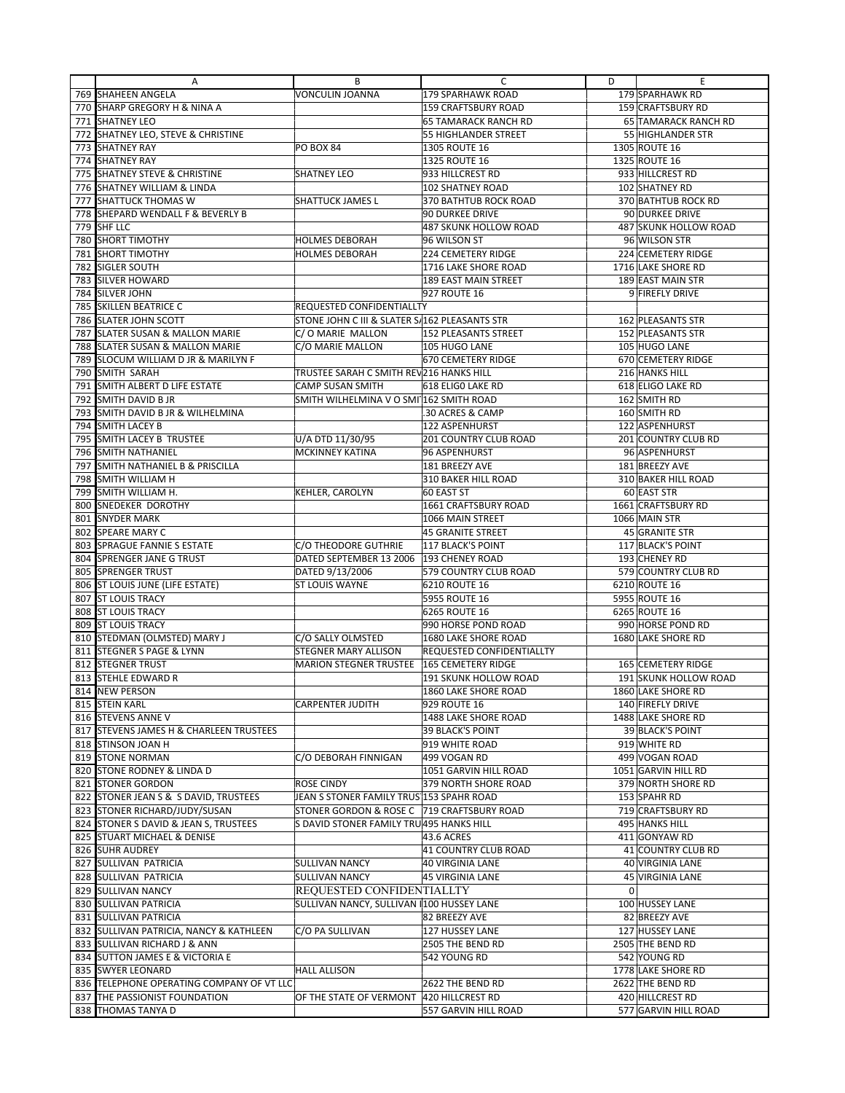|     | Α                                          | В                                              | C                                | D              | E                           |
|-----|--------------------------------------------|------------------------------------------------|----------------------------------|----------------|-----------------------------|
|     | 769 SHAHEEN ANGELA                         | VONCULIN JOANNA                                | 179 SPARHAWK ROAD                |                | 179 SPARHAWK RD             |
|     | 770 SHARP GREGORY H & NINA A               |                                                | 159 CRAFTSBURY ROAD              |                | 159 CRAFTSBURY RD           |
|     | 771 SHATNEY LEO                            |                                                | 65 TAMARACK RANCH RD             |                | <b>65 TAMARACK RANCH RD</b> |
|     | 772 SHATNEY LEO, STEVE & CHRISTINE         |                                                | 55 HIGHLANDER STREET             |                | 55 HIGHLANDER STR           |
|     | 773 SHATNEY RAY                            | PO BOX 84                                      | 1305 ROUTE 16                    |                | 1305 ROUTE 16               |
|     | 774 SHATNEY RAY                            |                                                | 1325 ROUTE 16                    |                | 1325 ROUTE 16               |
|     | 775 SHATNEY STEVE & CHRISTINE              | SHATNEY LEO                                    | 933 HILLCREST RD                 |                | 933 HILLCREST RD            |
|     | 776 SHATNEY WILLIAM & LINDA                |                                                | 102 SHATNEY ROAD                 |                | 102 SHATNEY RD              |
|     | 777 SHATTUCK THOMAS W                      | SHATTUCK JAMES L                               | 370 BATHTUB ROCK ROAD            |                | 370 BATHTUB ROCK RD         |
|     | 778 SHEPARD WENDALL F & BEVERLY B          |                                                | 90 DURKEE DRIVE                  |                | 90 DURKEE DRIVE             |
|     | 779 SHF LLC                                |                                                | 487 SKUNK HOLLOW ROAD            |                | 487 SKUNK HOLLOW ROAD       |
|     | 780 SHORT TIMOTHY                          | HOLMES DEBORAH                                 | 96 WILSON ST                     |                | 96 WILSON STR               |
| 781 | <b>SHORT TIMOTHY</b>                       | HOLMES DEBORAH                                 | 224 CEMETERY RIDGE               |                | 224 CEMETERY RIDGE          |
| 782 | SIGLER SOUTH                               |                                                | 1716 LAKE SHORE ROAD             |                | 1716 LAKE SHORE RD          |
| 783 | <b>SILVER HOWARD</b>                       |                                                | 189 EAST MAIN STREET             |                | 189 EAST MAIN STR           |
|     | 784 SILVER JOHN                            |                                                | 927 ROUTE 16                     |                | 9 FIREFLY DRIVE             |
|     | 785 SKILLEN BEATRICE C                     | REQUESTED CONFIDENTIALLTY                      |                                  |                |                             |
|     | 786 SLATER JOHN SCOTT                      | STONE JOHN C III & SLATER S. 162 PLEASANTS STR |                                  |                | 162 PLEASANTS STR           |
| 787 | <b>SLATER SUSAN &amp; MALLON MARIE</b>     | C/O MARIE MALLON                               | 152 PLEASANTS STREET             |                | 152 PLEASANTS STR           |
|     | 788 SLATER SUSAN & MALLON MARIE            | C/O MARIE MALLON                               | 105 HUGO LANE                    |                | 105 HUGO LANE               |
| 789 | <b>SLOCUM WILLIAM D JR &amp; MARILYN F</b> |                                                | 670 CEMETERY RIDGE               |                | 670 CEMETERY RIDGE          |
|     | 790 SMITH SARAH                            | TRUSTEE SARAH C SMITH REV216 HANKS HILL        |                                  |                | 216 HANKS HILL              |
| 791 | SMITH ALBERT D LIFE ESTATE                 | CAMP SUSAN SMITH                               | 618 ELIGO LAKE RD                |                | 618 ELIGO LAKE RD           |
| 792 | <b>SMITH DAVID B JR</b>                    | SMITH WILHELMINA V O SMI 162 SMITH ROAD        |                                  |                | 162 SMITH RD                |
| 793 | SMITH DAVID B JR & WILHELMINA              |                                                | .30 ACRES & CAMP                 |                | 160 SMITH RD                |
| 794 | <b>SMITH LACEY B</b>                       |                                                | 122 ASPENHURST                   |                | 122 ASPENHURST              |
| 795 | <b>SMITH LACEY B TRUSTEE</b>               | U/A DTD 11/30/95                               | <b>201 COUNTRY CLUB ROAD</b>     |                | 201 COUNTRY CLUB RD         |
|     | 796 SMITH NATHANIEL                        | <b>MCKINNEY KATINA</b>                         | 96 ASPENHURST                    |                | 96 ASPENHURST               |
| 797 | <b>SMITH NATHANIEL B &amp; PRISCILLA</b>   |                                                | 181 BREEZY AVE                   |                | 181 BREEZY AVE              |
|     | 798 SMITH WILLIAM H                        |                                                | 310 BAKER HILL ROAD              |                | 310 BAKER HILL ROAD         |
| 799 | SMITH WILLIAM H.                           | KEHLER, CAROLYN                                | 60 EAST ST                       |                | 60 EAST STR                 |
|     | 800 SNEDEKER DOROTHY                       |                                                | 1661 CRAFTSBURY ROAD             |                | 1661 CRAFTSBURY RD          |
| 801 | <b>SNYDER MARK</b>                         |                                                | 1066 MAIN STREET                 |                | 1066 MAIN STR               |
| 802 | <b>SPEARE MARY C</b>                       |                                                | 45 GRANITE STREET                |                | 45 GRANITE STR              |
|     | 803 SPRAGUE FANNIE S ESTATE                | C/O THEODORE GUTHRIE                           | 117 BLACK'S POINT                |                | 117 BLACK'S POINT           |
| 804 | <b>SPRENGER JANE G TRUST</b>               | DATED SEPTEMBER 13 2006                        | 193 CHENEY ROAD                  |                | 193 CHENEY RD               |
|     | 805 SPRENGER TRUST                         | DATED 9/13/2006                                | 579 COUNTRY CLUB ROAD            |                | 579 COUNTRY CLUB RD         |
|     | 806 ST LOUIS JUNE (LIFE ESTATE)            | ST LOUIS WAYNE                                 | 6210 ROUTE 16                    |                | 6210 ROUTE 16               |
| 807 | <b>ST LOUIS TRACY</b>                      |                                                | 5955 ROUTE 16                    |                | 5955 ROUTE 16               |
|     | 808 ST LOUIS TRACY                         |                                                | 6265 ROUTE 16                    |                | 6265 ROUTE 16               |
| 809 | <b>ST LOUIS TRACY</b>                      |                                                | 990 HORSE POND ROAD              |                | 990 HORSE POND RD           |
|     | 810 STEDMAN (OLMSTED) MARY J               | C/O SALLY OLMSTED                              | 1680 LAKE SHORE ROAD             |                | 1680 LAKE SHORE RD          |
| 811 | <b>STEGNER S PAGE &amp; LYNN</b>           | STEGNER MARY ALLISON                           | <b>REQUESTED CONFIDENTIALLTY</b> |                |                             |
| 812 | <b>STEGNER TRUST</b>                       | <b>MARION STEGNER TRUSTEE</b>                  | 165 CEMETERY RIDGE               |                | 165 CEMETERY RIDGE          |
|     | 813 STEHLE EDWARD R                        |                                                | 191 SKUNK HOLLOW ROAD            |                | 191 SKUNK HOLLOW ROAD       |
|     | 814 NEW PERSON                             |                                                | 1860 LAKE SHORE ROAD             |                | 1860 LAKE SHORE RD          |
|     | 815 STEIN KARL                             | <b>CARPENTER JUDITH</b>                        | 929 ROUTE 16                     |                | 140 FIREFLY DRIVE           |
|     | 816 STEVENS ANNE V                         |                                                | 1488 LAKE SHORE ROAD             |                | 1488 LAKE SHORE RD          |
|     | 817 STEVENS JAMES H & CHARLEEN TRUSTEES    |                                                | 39 BLACK'S POINT                 |                | 39 BLACK'S POINT            |
|     | 818 STINSON JOAN H                         |                                                | 919 WHITE ROAD                   |                | 919 WHITE RD                |
|     | 819 STONE NORMAN                           | C/O DEBORAH FINNIGAN                           | 499 VOGAN RD                     |                | 499 VOGAN ROAD              |
|     | 820 STONE RODNEY & LINDA D                 |                                                | 1051 GARVIN HILL ROAD            |                | 1051 GARVIN HILL RD         |
|     | 821 STONER GORDON                          | ROSE CINDY                                     | 379 NORTH SHORE ROAD             |                | 379 NORTH SHORE RD          |
|     | 822 STONER JEAN S & S DAVID, TRUSTEES      | JEAN S STONER FAMILY TRUS 153 SPAHR ROAD       |                                  |                | 153 SPAHR RD                |
|     | 823 STONER RICHARD/JUDY/SUSAN              | STONER GORDON & ROSE C                         | 719 CRAFTSBURY ROAD              |                | 719 CRAFTSBURY RD           |
|     | 824 STONER S DAVID & JEAN S, TRUSTEES      | S DAVID STONER FAMILY TRU495 HANKS HILL        |                                  |                | 495 HANKS HILL              |
|     | 825 STUART MICHAEL & DENISE                |                                                | 43.6 ACRES                       |                | 411 GONYAW RD               |
|     | 826 SUHR AUDREY                            |                                                | 41 COUNTRY CLUB ROAD             |                | 41 COUNTRY CLUB RD          |
|     | 827 SULLIVAN PATRICIA                      | <b>SULLIVAN NANCY</b>                          | 40 VIRGINIA LANE                 |                | 40 VIRGINIA LANE            |
|     | 828 SULLIVAN PATRICIA                      | <b>SULLIVAN NANCY</b>                          | 45 VIRGINIA LANE                 |                | 45 VIRGINIA LANE            |
|     | 829 SULLIVAN NANCY                         | REQUESTED CONFIDENTIALLTY                      |                                  | $\overline{0}$ |                             |
|     | 830 SULLIVAN PATRICIA                      | SULLIVAN NANCY, SULLIVAN #100 HUSSEY LANE      |                                  |                | 100 HUSSEY LANE             |
|     | 831 SULLIVAN PATRICIA                      |                                                | 82 BREEZY AVE                    |                | 82 BREEZY AVE               |
|     | 832 SULLIVAN PATRICIA, NANCY & KATHLEEN    | C/O PA SULLIVAN                                | 127 HUSSEY LANE                  |                | 127 HUSSEY LANE             |
|     | 833 SULLIVAN RICHARD J & ANN               |                                                | 2505 THE BEND RD                 |                | 2505 THE BEND RD            |
|     | 834 SUTTON JAMES E & VICTORIA E            |                                                | 542 YOUNG RD                     |                | 542 YOUNG RD                |
|     | 835 SWYER LEONARD                          | <b>HALL ALLISON</b>                            |                                  |                | 1778 LAKE SHORE RD          |
|     | 836 TELEPHONE OPERATING COMPANY OF VT LLC  |                                                | 2622 THE BEND RD                 |                | 2622 THE BEND RD            |
|     | 837 THE PASSIONIST FOUNDATION              | OF THE STATE OF VERMONT                        | 420 HILLCREST RD                 |                | 420 HILLCREST RD            |
|     | 838 THOMAS TANYA D                         |                                                | 557 GARVIN HILL ROAD             |                | 577 GARVIN HILL ROAD        |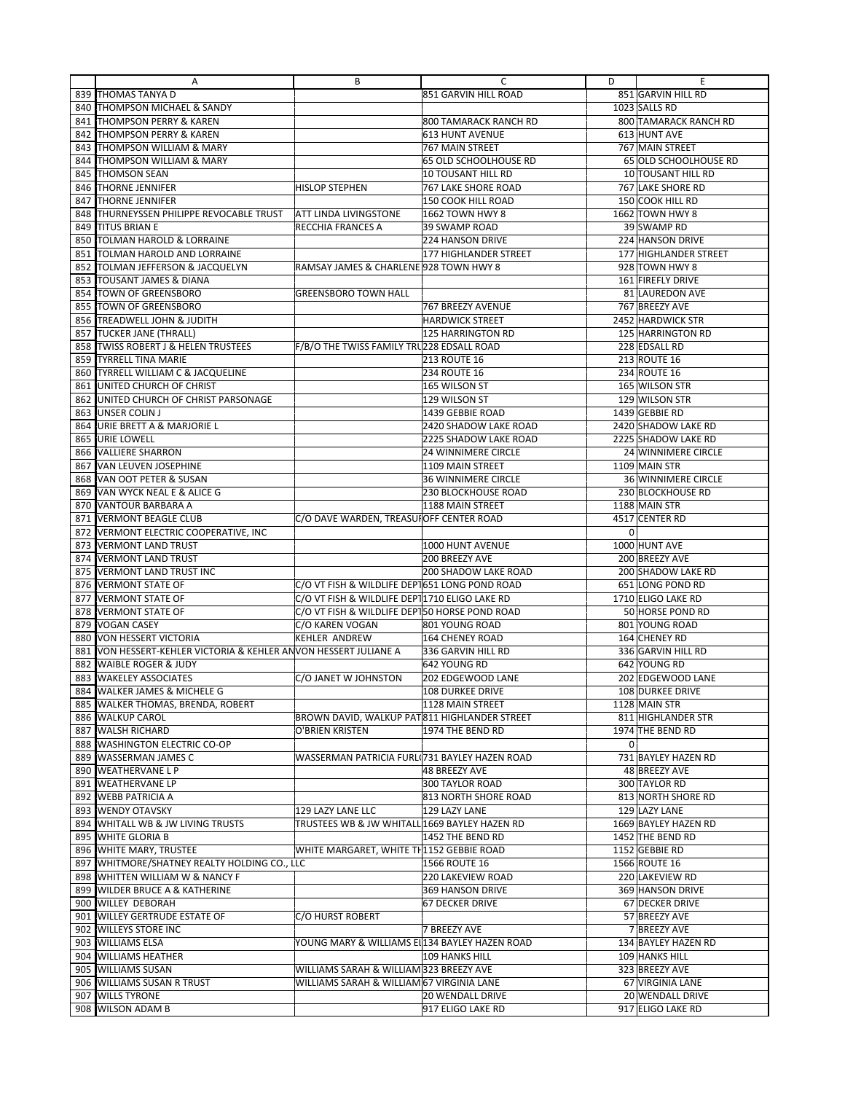|     | Α                                                            | В                                              | С                          | D | E                     |
|-----|--------------------------------------------------------------|------------------------------------------------|----------------------------|---|-----------------------|
|     | 839 THOMAS TANYA D                                           |                                                | 851 GARVIN HILL ROAD       |   | 851 GARVIN HILL RD    |
|     | 840 THOMPSON MICHAEL & SANDY                                 |                                                |                            |   | 1023 SALLS RD         |
|     | 841 THOMPSON PERRY & KAREN                                   |                                                | 800 TAMARACK RANCH RD      |   | 800 TAMARACK RANCH RD |
|     | 842 THOMPSON PERRY & KAREN                                   |                                                | 613 HUNT AVENUE            |   | 613 HUNT AVE          |
|     | 843 THOMPSON WILLIAM & MARY                                  |                                                | 767 MAIN STREET            |   | 767 MAIN STREET       |
| 844 | <b>THOMPSON WILLIAM &amp; MARY</b>                           |                                                | 65 OLD SCHOOLHOUSE RD      |   | 65 OLD SCHOOLHOUSE RD |
| 845 | <b>THOMSON SEAN</b>                                          |                                                | 10 TOUSANT HILL RD         |   | 10 TOUSANT HILL RD    |
| 846 | <b>THORNE JENNIFER</b>                                       | HISLOP STEPHEN                                 | 767 LAKE SHORE ROAD        |   | 767 LAKE SHORE RD     |
|     | <b>THORNE JENNIFER</b>                                       |                                                |                            |   |                       |
| 847 | 848 THURNEYSSEN PHILIPPE REVOCABLE TRUST                     | ATT LINDA LIVINGSTONE                          | 150 COOK HILL ROAD         |   | 150 COOK HILL RD      |
|     |                                                              |                                                | 1662 TOWN HWY 8            |   | 1662 TOWN HWY 8       |
| 849 | <b>TITUS BRIAN E</b>                                         | RECCHIA FRANCES A                              | 39 SWAMP ROAD              |   | 39 SWAMP RD           |
|     | 850 TOLMAN HAROLD & LORRAINE                                 |                                                | 224 HANSON DRIVE           |   | 224 HANSON DRIVE      |
| 851 | <b>TOLMAN HAROLD AND LORRAINE</b>                            |                                                | 177 HIGHLANDER STREET      |   | 177 HIGHLANDER STREET |
|     | 852 TOLMAN JEFFERSON & JACQUELYN                             | RAMSAY JAMES & CHARLENE 928 TOWN HWY 8         |                            |   | 928 TOWN HWY 8        |
|     | 853 TOUSANT JAMES & DIANA                                    |                                                |                            |   | 161 FIREFLY DRIVE     |
|     | 854 TOWN OF GREENSBORO                                       | <b>GREENSBORO TOWN HALL</b>                    |                            |   | 81 LAUREDON AVE       |
|     | 855 TOWN OF GREENSBORO                                       |                                                | 767 BREEZY AVENUE          |   | 767 BREEZY AVE        |
|     | 856 TREADWELL JOHN & JUDITH                                  |                                                | <b>HARDWICK STREET</b>     |   | 2452 HARDWICK STR     |
| 857 | <b>TUCKER JANE (THRALL)</b>                                  |                                                | 125 HARRINGTON RD          |   | 125 HARRINGTON RD     |
|     | 858  TWISS ROBERT J & HELEN TRUSTEES                         | F/B/O THE TWISS FAMILY TRU228 EDSALL ROAD      |                            |   | 228 EDSALL RD         |
| 859 | <b>TYRRELL TINA MARIE</b>                                    |                                                | <b>213 ROUTE 16</b>        |   | 213 ROUTE 16          |
|     | 860 TYRRELL WILLIAM C & JACQUELINE                           |                                                | <b>234 ROUTE 16</b>        |   | 234 ROUTE 16          |
| 861 | UNITED CHURCH OF CHRIST                                      |                                                | 165 WILSON ST              |   | 165 WILSON STR        |
|     | 862 UNITED CHURCH OF CHRIST PARSONAGE                        |                                                | 129 WILSON ST              |   | 129 WILSON STR        |
|     | 863 JUNSER COLIN J                                           |                                                | 1439 GEBBIE ROAD           |   | 1439 GEBBIE RD        |
| 864 | <b>URIE BRETT A &amp; MARJORIE L</b>                         |                                                | 2420 SHADOW LAKE ROAD      |   | 2420 SHADOW LAKE RD   |
|     | 865 URIE LOWELL                                              |                                                | 2225 SHADOW LAKE ROAD      |   | 2225 SHADOW LAKE RD   |
| 866 | <b>VALLIERE SHARRON</b>                                      |                                                | <b>24 WINNIMERE CIRCLE</b> |   | 24 WINNIMERE CIRCLE   |
|     | 867 VAN LEUVEN JOSEPHINE                                     |                                                | 1109 MAIN STREET           |   | 1109 MAIN STR         |
|     | 868 VAN OOT PETER & SUSAN                                    |                                                | <b>36 WINNIMERE CIRCLE</b> |   | 36 WINNIMERE CIRCLE   |
|     | 869 VAN WYCK NEAL E & ALICE G                                |                                                | <b>230 BLOCKHOUSE ROAD</b> |   | 230 BLOCKHOUSE RD     |
|     | 870 VANTOUR BARBARA A                                        |                                                | 1188 MAIN STREET           |   | 1188 MAIN STR         |
| 871 | <b>VERMONT BEAGLE CLUB</b>                                   | C/O DAVE WARDEN, TREASUIOFF CENTER ROAD        |                            |   | 4517 CENTER RD        |
|     | 872 VERMONT ELECTRIC COOPERATIVE, INC                        |                                                |                            | 0 |                       |
|     |                                                              |                                                |                            |   |                       |
|     | 873 VERMONT LAND TRUST<br>874 VERMONT LAND TRUST             |                                                | 1000 HUNT AVENUE           |   | 1000 HUNT AVE         |
|     |                                                              |                                                | 200 BREEZY AVE             |   | 200 BREEZY AVE        |
| 875 | <b>VERMONT LAND TRUST INC</b>                                |                                                | 200 SHADOW LAKE ROAD       |   | 200 SHADOW LAKE RD    |
| 876 | <b>VERMONT STATE OF</b>                                      | C/O VT FISH & WILDLIFE DEP1651 LONG POND ROAD  |                            |   | 651 LONG POND RD      |
|     | 877 VERMONT STATE OF                                         | C/O VT FISH & WILDLIFE DEP11710 ELIGO LAKE RD  |                            |   | 1710 ELIGO LAKE RD    |
|     | 878 VERMONT STATE OF                                         | C/O VT FISH & WILDLIFE DEP150 HORSE POND ROAD  |                            |   | 50 HORSE POND RD      |
|     | 879 VOGAN CASEY                                              | C/O KAREN VOGAN                                | 801 YOUNG ROAD             |   | 801 YOUNG ROAD        |
|     | 880 VON HESSERT VICTORIA                                     | KEHLER ANDREW                                  | 164 CHENEY ROAD            |   | 164 CHENEY RD         |
| 881 | VON HESSERT-KEHLER VICTORIA & KEHLER ANVON HESSERT JULIANE A |                                                | 336 GARVIN HILL RD         |   | 336 GARVIN HILL RD    |
|     | 882 WAIBLE ROGER & JUDY                                      |                                                | 642 YOUNG RD               |   | 642 YOUNG RD          |
|     | 883 WAKELEY ASSOCIATES                                       | C/O JANET W JOHNSTON                           | 202 EDGEWOOD LANE          |   | 202 EDGEWOOD LANE     |
|     | 884 WALKER JAMES & MICHELE G                                 |                                                | 108 DURKEE DRIVE           |   | 108 DURKEE DRIVE      |
|     | 885 WALKER THOMAS, BRENDA, ROBERT                            |                                                | 1128 MAIN STREET           |   | 1128 MAIN STR         |
|     | 886 WALKUP CAROL                                             | BROWN DAVID, WALKUP PAT 811 HIGHLANDER STREET  |                            |   | 811 HIGHLANDER STR    |
|     | 887 WALSH RICHARD                                            | O'BRIEN KRISTEN                                | 1974 THE BEND RD           |   | 1974 THE BEND RD      |
|     | 888 WASHINGTON ELECTRIC CO-OP                                |                                                |                            | 0 |                       |
|     | 889 WASSERMAN JAMES C                                        | WASSERMAN PATRICIA FURL(731 BAYLEY HAZEN ROAD  |                            |   | 731 BAYLEY HAZEN RD   |
|     | 890 WEATHERVANE L P                                          |                                                | 48 BREEZY AVE              |   | 48 BREEZY AVE         |
|     | 891 WEATHERVANE LP                                           |                                                | 300 TAYLOR ROAD            |   | 300 TAYLOR RD         |
|     | 892 WEBB PATRICIA A                                          |                                                | 813 NORTH SHORE ROAD       |   | 813 NORTH SHORE RD    |
|     | 893 WENDY OTAVSKY                                            | 129 LAZY LANE LLC                              | 129 LAZY LANE              |   | 129 LAZY LANE         |
|     | 894 WHITALL WB & JW LIVING TRUSTS                            | TRUSTEES WB & JW WHITALL 1669 BAYLEY HAZEN RD  |                            |   | 1669 BAYLEY HAZEN RD  |
|     | 895 WHITE GLORIA B                                           |                                                | 1452 THE BEND RD           |   | 1452 THE BEND RD      |
|     | 896 WHITE MARY, TRUSTEE                                      | WHITE MARGARET, WHITE TH1152 GEBBIE ROAD       |                            |   | 1152 GEBBIE RD        |
|     | 897 WHITMORE/SHATNEY REALTY HOLDING CO., LLC                 |                                                | 1566 ROUTE 16              |   | 1566 ROUTE 16         |
|     | 898 WHITTEN WILLIAM W & NANCY F                              |                                                | 220 LAKEVIEW ROAD          |   | 220 LAKEVIEW RD       |
|     | 899 WILDER BRUCE A & KATHERINE                               |                                                | 369 HANSON DRIVE           |   | 369 HANSON DRIVE      |
|     | 900 WILLEY DEBORAH                                           |                                                | <b>67 DECKER DRIVE</b>     |   | 67 DECKER DRIVE       |
|     | 901 WILLEY GERTRUDE ESTATE OF                                | C/O HURST ROBERT                               |                            |   | 57 BREEZY AVE         |
|     | 902 WILLEYS STORE INC                                        |                                                | 7 BREEZY AVE               |   | 7 BREEZY AVE          |
|     | 903 WILLIAMS ELSA                                            | YOUNG MARY & WILLIAMS EI 134 BAYLEY HAZEN ROAD |                            |   | 134 BAYLEY HAZEN RD   |
|     | 904 WILLIAMS HEATHER                                         |                                                | 109 HANKS HILL             |   | 109 HANKS HILL        |
|     | 905 WILLIAMS SUSAN                                           | WILLIAMS SARAH & WILLIAM 323 BREEZY AVE        |                            |   | 323 BREEZY AVE        |
|     |                                                              |                                                |                            |   |                       |
|     | 906 WILLIAMS SUSAN R TRUST                                   | WILLIAMS SARAH & WILLIAM 67 VIRGINIA LANE      |                            |   | 67 VIRGINIA LANE      |
|     | 907 WILLS TYRONE                                             |                                                | 20 WENDALL DRIVE           |   | 20 WENDALL DRIVE      |
|     | 908 WILSON ADAM B                                            |                                                | 917 ELIGO LAKE RD          |   | 917 ELIGO LAKE RD     |